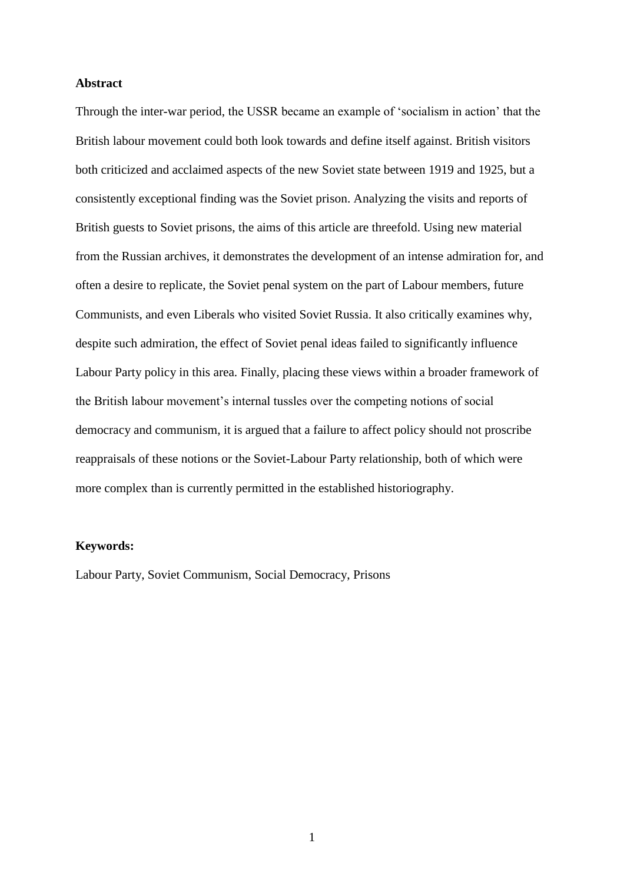#### **Abstract**

Through the inter-war period, the USSR became an example of 'socialism in action' that the British labour movement could both look towards and define itself against. British visitors both criticized and acclaimed aspects of the new Soviet state between 1919 and 1925, but a consistently exceptional finding was the Soviet prison. Analyzing the visits and reports of British guests to Soviet prisons, the aims of this article are threefold. Using new material from the Russian archives, it demonstrates the development of an intense admiration for, and often a desire to replicate, the Soviet penal system on the part of Labour members, future Communists, and even Liberals who visited Soviet Russia. It also critically examines why, despite such admiration, the effect of Soviet penal ideas failed to significantly influence Labour Party policy in this area. Finally, placing these views within a broader framework of the British labour movement's internal tussles over the competing notions of social democracy and communism, it is argued that a failure to affect policy should not proscribe reappraisals of these notions or the Soviet-Labour Party relationship, both of which were more complex than is currently permitted in the established historiography.

## **Keywords:**

Labour Party, Soviet Communism, Social Democracy, Prisons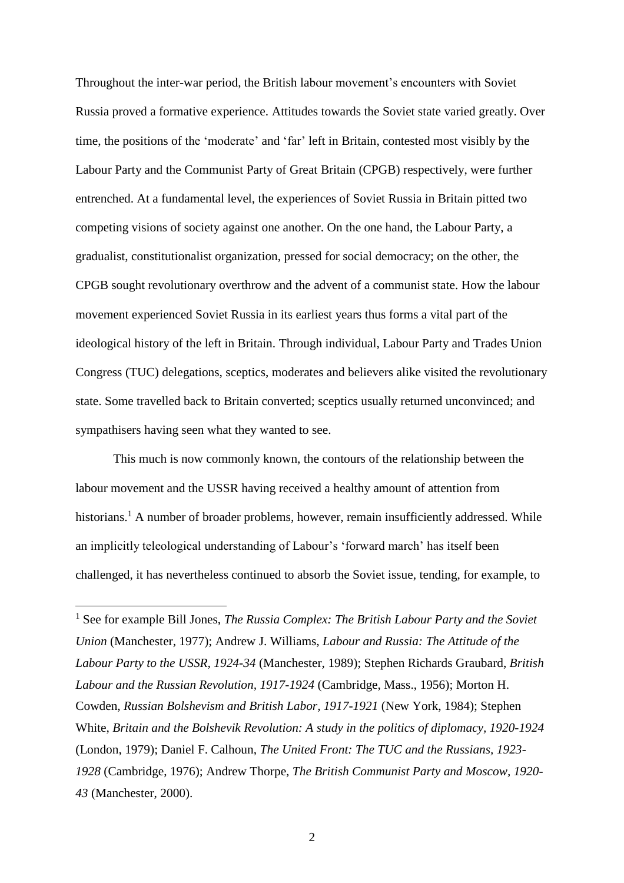Throughout the inter-war period, the British labour movement's encounters with Soviet Russia proved a formative experience. Attitudes towards the Soviet state varied greatly. Over time, the positions of the 'moderate' and 'far' left in Britain, contested most visibly by the Labour Party and the Communist Party of Great Britain (CPGB) respectively, were further entrenched. At a fundamental level, the experiences of Soviet Russia in Britain pitted two competing visions of society against one another. On the one hand, the Labour Party, a gradualist, constitutionalist organization, pressed for social democracy; on the other, the CPGB sought revolutionary overthrow and the advent of a communist state. How the labour movement experienced Soviet Russia in its earliest years thus forms a vital part of the ideological history of the left in Britain. Through individual, Labour Party and Trades Union Congress (TUC) delegations, sceptics, moderates and believers alike visited the revolutionary state. Some travelled back to Britain converted; sceptics usually returned unconvinced; and sympathisers having seen what they wanted to see.

This much is now commonly known, the contours of the relationship between the labour movement and the USSR having received a healthy amount of attention from historians.<sup>1</sup> A number of broader problems, however, remain insufficiently addressed. While an implicitly teleological understanding of Labour's 'forward march' has itself been challenged, it has nevertheless continued to absorb the Soviet issue, tending, for example, to

<sup>1</sup> See for example Bill Jones, *The Russia Complex: The British Labour Party and the Soviet Union* (Manchester, 1977); Andrew J. Williams, *Labour and Russia: The Attitude of the Labour Party to the USSR, 1924-34* (Manchester, 1989); Stephen Richards Graubard, *British Labour and the Russian Revolution, 1917-1924* (Cambridge, Mass., 1956); Morton H. Cowden, *Russian Bolshevism and British Labor, 1917-1921* (New York, 1984); Stephen White, *Britain and the Bolshevik Revolution: A study in the politics of diplomacy, 1920-1924* (London, 1979); Daniel F. Calhoun, *The United Front: The TUC and the Russians, 1923- 1928* (Cambridge, 1976); Andrew Thorpe, *The British Communist Party and Moscow, 1920- 43* (Manchester, 2000).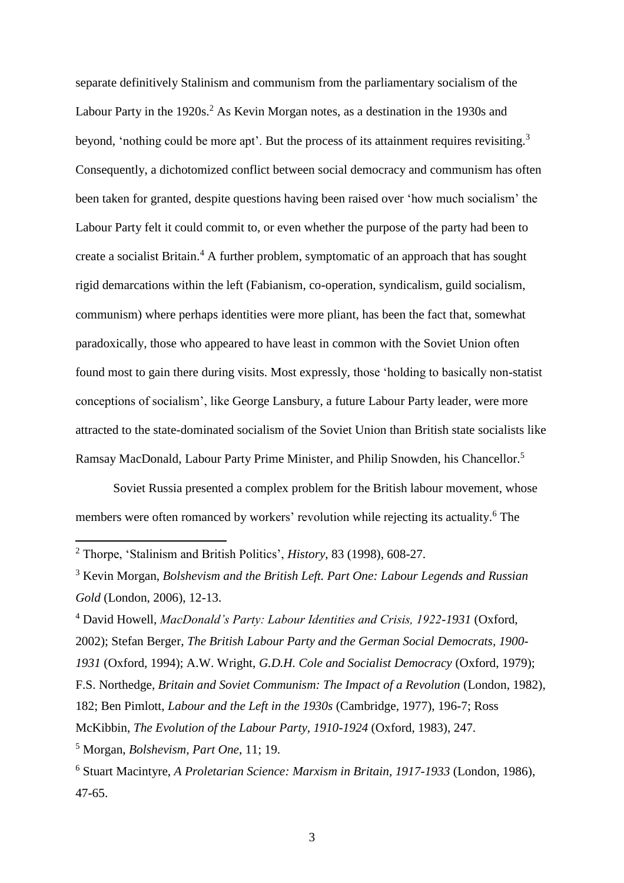separate definitively Stalinism and communism from the parliamentary socialism of the Labour Party in the 1920s.<sup>2</sup> As Kevin Morgan notes, as a destination in the 1930s and beyond, 'nothing could be more apt'. But the process of its attainment requires revisiting.<sup>3</sup> Consequently, a dichotomized conflict between social democracy and communism has often been taken for granted, despite questions having been raised over 'how much socialism' the Labour Party felt it could commit to, or even whether the purpose of the party had been to create a socialist Britain.<sup>4</sup> A further problem, symptomatic of an approach that has sought rigid demarcations within the left (Fabianism, co-operation, syndicalism, guild socialism, communism) where perhaps identities were more pliant, has been the fact that, somewhat paradoxically, those who appeared to have least in common with the Soviet Union often found most to gain there during visits. Most expressly, those 'holding to basically non-statist conceptions of socialism', like George Lansbury, a future Labour Party leader, were more attracted to the state-dominated socialism of the Soviet Union than British state socialists like Ramsay MacDonald, Labour Party Prime Minister, and Philip Snowden, his Chancellor.<sup>5</sup>

Soviet Russia presented a complex problem for the British labour movement, whose members were often romanced by workers' revolution while rejecting its actuality.<sup>6</sup> The

 $\overline{a}$ 

<sup>4</sup> David Howell, *MacDonald's Party: Labour Identities and Crisis, 1922-1931* (Oxford, 2002); Stefan Berger, *The British Labour Party and the German Social Democrats, 1900- 1931* (Oxford, 1994); A.W. Wright, *G.D.H. Cole and Socialist Democracy* (Oxford, 1979); F.S. Northedge, *Britain and Soviet Communism: The Impact of a Revolution* (London, 1982), 182; Ben Pimlott, *Labour and the Left in the 1930s* (Cambridge, 1977), 196-7; Ross McKibbin, *The Evolution of the Labour Party, 1910-1924* (Oxford, 1983), 247. <sup>5</sup> Morgan, *Bolshevism, Part One*, 11; 19.

<sup>2</sup> Thorpe, 'Stalinism and British Politics', *History*, 83 (1998), 608-27.

<sup>3</sup> Kevin Morgan, *Bolshevism and the British Left. Part One: Labour Legends and Russian Gold* (London, 2006), 12-13.

<sup>6</sup> Stuart Macintyre, *A Proletarian Science: Marxism in Britain, 1917-1933* (London, 1986), 47-65.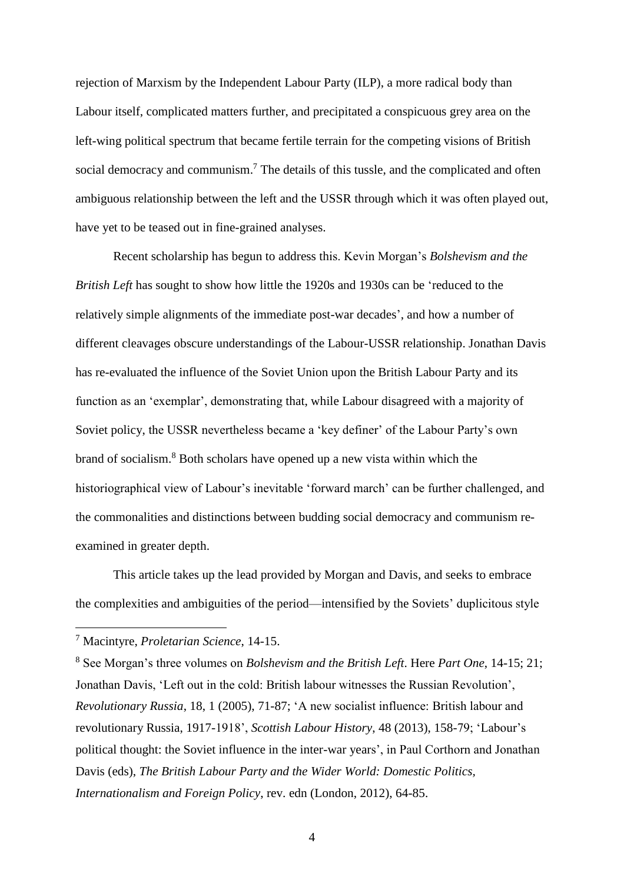rejection of Marxism by the Independent Labour Party (ILP), a more radical body than Labour itself, complicated matters further, and precipitated a conspicuous grey area on the left-wing political spectrum that became fertile terrain for the competing visions of British social democracy and communism.<sup>7</sup> The details of this tussle, and the complicated and often ambiguous relationship between the left and the USSR through which it was often played out, have yet to be teased out in fine-grained analyses.

Recent scholarship has begun to address this. Kevin Morgan's *Bolshevism and the British Left* has sought to show how little the 1920s and 1930s can be 'reduced to the relatively simple alignments of the immediate post-war decades', and how a number of different cleavages obscure understandings of the Labour-USSR relationship. Jonathan Davis has re-evaluated the influence of the Soviet Union upon the British Labour Party and its function as an 'exemplar', demonstrating that, while Labour disagreed with a majority of Soviet policy, the USSR nevertheless became a 'key definer' of the Labour Party's own brand of socialism.<sup>8</sup> Both scholars have opened up a new vista within which the historiographical view of Labour's inevitable 'forward march' can be further challenged, and the commonalities and distinctions between budding social democracy and communism reexamined in greater depth.

This article takes up the lead provided by Morgan and Davis, and seeks to embrace the complexities and ambiguities of the period—intensified by the Soviets' duplicitous style

<sup>7</sup> Macintyre, *Proletarian Science*, 14-15.

<sup>8</sup> See Morgan's three volumes on *Bolshevism and the British Left*. Here *Part One*, 14-15; 21; Jonathan Davis, 'Left out in the cold: British labour witnesses the Russian Revolution', *Revolutionary Russia*, 18, 1 (2005), 71-87; 'A new socialist influence: British labour and revolutionary Russia, 1917-1918', *Scottish Labour History*, 48 (2013), 158-79; 'Labour's political thought: the Soviet influence in the inter-war years', in Paul Corthorn and Jonathan Davis (eds), *The British Labour Party and the Wider World: Domestic Politics, Internationalism and Foreign Policy*, rev. edn (London, 2012), 64-85.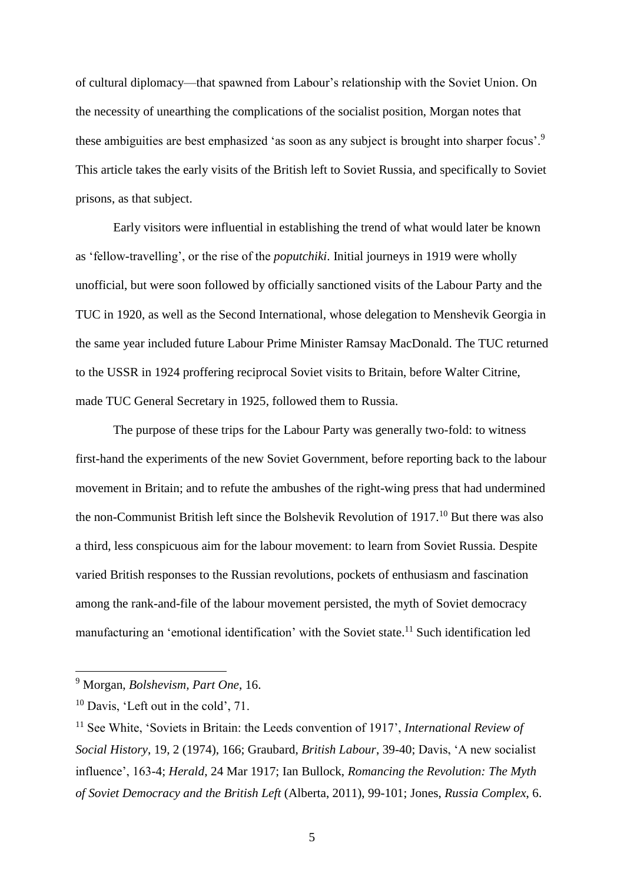of cultural diplomacy—that spawned from Labour's relationship with the Soviet Union. On the necessity of unearthing the complications of the socialist position, Morgan notes that these ambiguities are best emphasized 'as soon as any subject is brought into sharper focus'.<sup>9</sup> This article takes the early visits of the British left to Soviet Russia, and specifically to Soviet prisons, as that subject.

Early visitors were influential in establishing the trend of what would later be known as 'fellow-travelling', or the rise of the *poputchiki*. Initial journeys in 1919 were wholly unofficial, but were soon followed by officially sanctioned visits of the Labour Party and the TUC in 1920, as well as the Second International, whose delegation to Menshevik Georgia in the same year included future Labour Prime Minister Ramsay MacDonald. The TUC returned to the USSR in 1924 proffering reciprocal Soviet visits to Britain, before Walter Citrine, made TUC General Secretary in 1925, followed them to Russia.

The purpose of these trips for the Labour Party was generally two-fold: to witness first-hand the experiments of the new Soviet Government, before reporting back to the labour movement in Britain; and to refute the ambushes of the right-wing press that had undermined the non-Communist British left since the Bolshevik Revolution of  $1917$ <sup>10</sup> But there was also a third, less conspicuous aim for the labour movement: to learn from Soviet Russia. Despite varied British responses to the Russian revolutions, pockets of enthusiasm and fascination among the rank-and-file of the labour movement persisted, the myth of Soviet democracy manufacturing an 'emotional identification' with the Soviet state.<sup>11</sup> Such identification led

<sup>9</sup> Morgan, *Bolshevism, Part One*, 16.

<sup>10</sup> Davis, 'Left out in the cold', 71.

<sup>11</sup> See White, 'Soviets in Britain: the Leeds convention of 1917', *International Review of Social History*, 19, 2 (1974), 166; Graubard, *British Labour*, 39-40; Davis, 'A new socialist influence', 163-4; *Herald*, 24 Mar 1917; Ian Bullock, *Romancing the Revolution: The Myth of Soviet Democracy and the British Left* (Alberta, 2011), 99-101; Jones, *Russia Complex*, 6.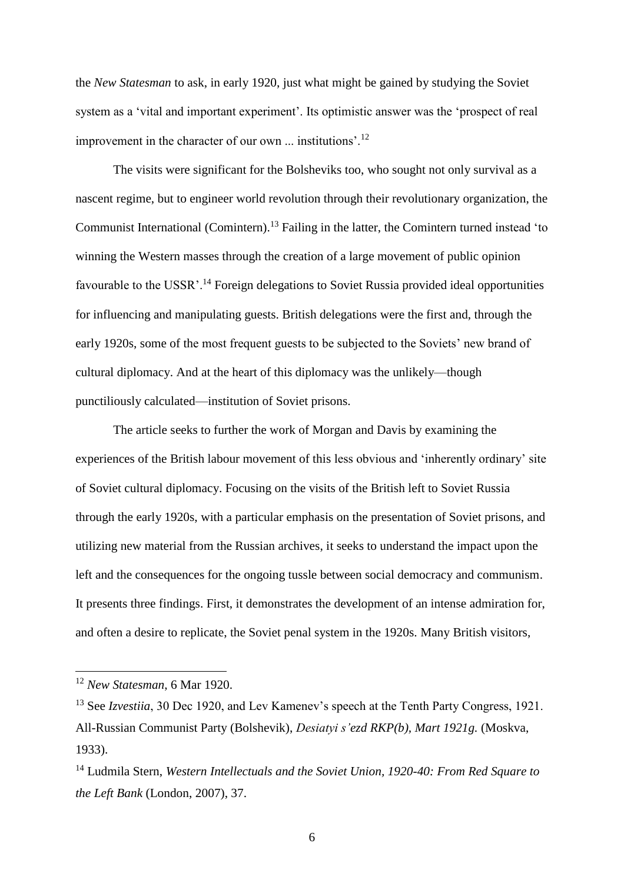the *New Statesman* to ask, in early 1920, just what might be gained by studying the Soviet system as a 'vital and important experiment'. Its optimistic answer was the 'prospect of real improvement in the character of our own ... institutions'.<sup>12</sup>

The visits were significant for the Bolsheviks too, who sought not only survival as a nascent regime, but to engineer world revolution through their revolutionary organization, the Communist International (Comintern).<sup>13</sup> Failing in the latter, the Comintern turned instead 'to winning the Western masses through the creation of a large movement of public opinion favourable to the USSR'.<sup>14</sup> Foreign delegations to Soviet Russia provided ideal opportunities for influencing and manipulating guests. British delegations were the first and, through the early 1920s, some of the most frequent guests to be subjected to the Soviets' new brand of cultural diplomacy. And at the heart of this diplomacy was the unlikely—though punctiliously calculated—institution of Soviet prisons.

The article seeks to further the work of Morgan and Davis by examining the experiences of the British labour movement of this less obvious and 'inherently ordinary' site of Soviet cultural diplomacy. Focusing on the visits of the British left to Soviet Russia through the early 1920s, with a particular emphasis on the presentation of Soviet prisons, and utilizing new material from the Russian archives, it seeks to understand the impact upon the left and the consequences for the ongoing tussle between social democracy and communism. It presents three findings. First, it demonstrates the development of an intense admiration for, and often a desire to replicate, the Soviet penal system in the 1920s. Many British visitors,

<sup>12</sup> *New Statesman*, 6 Mar 1920.

<sup>&</sup>lt;sup>13</sup> See *Izvestiia*, 30 Dec 1920, and Lev Kamenev's speech at the Tenth Party Congress, 1921. All-Russian Communist Party (Bolshevik), *Desiatyi s'ezd RKP(b), Mart 1921g.* (Moskva, 1933).

<sup>14</sup> Ludmila Stern, *Western Intellectuals and the Soviet Union, 1920-40: From Red Square to the Left Bank* (London, 2007), 37.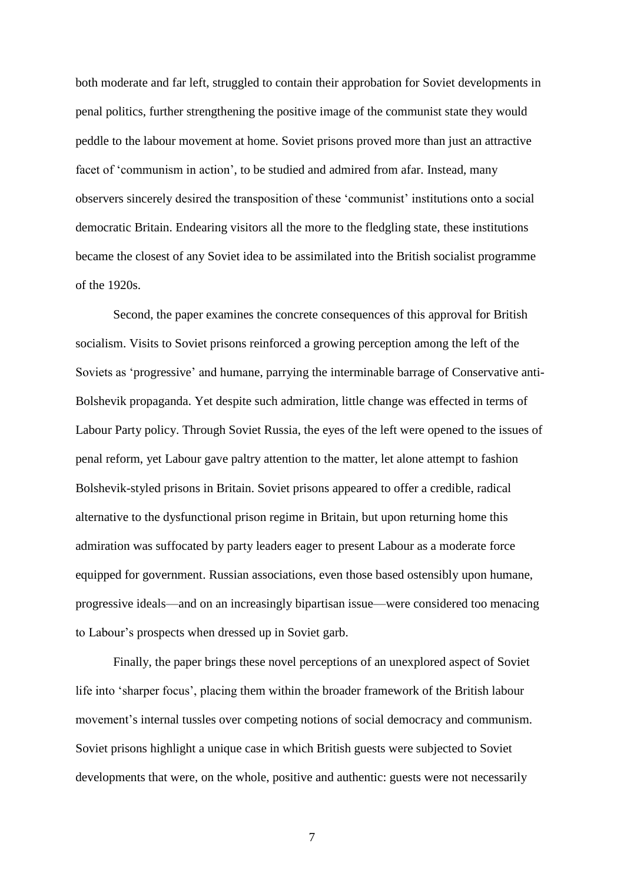both moderate and far left, struggled to contain their approbation for Soviet developments in penal politics, further strengthening the positive image of the communist state they would peddle to the labour movement at home. Soviet prisons proved more than just an attractive facet of 'communism in action', to be studied and admired from afar. Instead, many observers sincerely desired the transposition of these 'communist' institutions onto a social democratic Britain. Endearing visitors all the more to the fledgling state, these institutions became the closest of any Soviet idea to be assimilated into the British socialist programme of the 1920s.

Second, the paper examines the concrete consequences of this approval for British socialism. Visits to Soviet prisons reinforced a growing perception among the left of the Soviets as 'progressive' and humane, parrying the interminable barrage of Conservative anti-Bolshevik propaganda. Yet despite such admiration, little change was effected in terms of Labour Party policy. Through Soviet Russia, the eyes of the left were opened to the issues of penal reform, yet Labour gave paltry attention to the matter, let alone attempt to fashion Bolshevik-styled prisons in Britain. Soviet prisons appeared to offer a credible, radical alternative to the dysfunctional prison regime in Britain, but upon returning home this admiration was suffocated by party leaders eager to present Labour as a moderate force equipped for government. Russian associations, even those based ostensibly upon humane, progressive ideals—and on an increasingly bipartisan issue—were considered too menacing to Labour's prospects when dressed up in Soviet garb.

Finally, the paper brings these novel perceptions of an unexplored aspect of Soviet life into 'sharper focus', placing them within the broader framework of the British labour movement's internal tussles over competing notions of social democracy and communism. Soviet prisons highlight a unique case in which British guests were subjected to Soviet developments that were, on the whole, positive and authentic: guests were not necessarily

7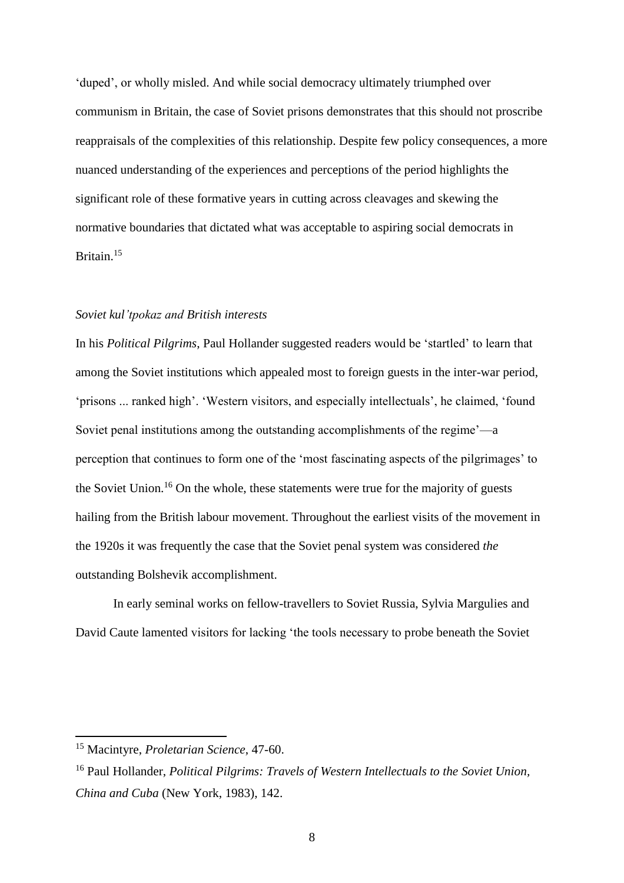'duped', or wholly misled. And while social democracy ultimately triumphed over communism in Britain, the case of Soviet prisons demonstrates that this should not proscribe reappraisals of the complexities of this relationship. Despite few policy consequences, a more nuanced understanding of the experiences and perceptions of the period highlights the significant role of these formative years in cutting across cleavages and skewing the normative boundaries that dictated what was acceptable to aspiring social democrats in Britain. 15

## *Soviet kul'tpokaz and British interests*

In his *Political Pilgrims*, Paul Hollander suggested readers would be 'startled' to learn that among the Soviet institutions which appealed most to foreign guests in the inter-war period, 'prisons ... ranked high'. 'Western visitors, and especially intellectuals', he claimed, 'found Soviet penal institutions among the outstanding accomplishments of the regime'—a perception that continues to form one of the 'most fascinating aspects of the pilgrimages' to the Soviet Union.<sup>16</sup> On the whole, these statements were true for the majority of guests hailing from the British labour movement. Throughout the earliest visits of the movement in the 1920s it was frequently the case that the Soviet penal system was considered *the* outstanding Bolshevik accomplishment.

In early seminal works on fellow-travellers to Soviet Russia, Sylvia Margulies and David Caute lamented visitors for lacking 'the tools necessary to probe beneath the Soviet

<sup>15</sup> Macintyre, *Proletarian Science*, 47-60.

<sup>16</sup> Paul Hollander, *Political Pilgrims: Travels of Western Intellectuals to the Soviet Union, China and Cuba* (New York, 1983), 142.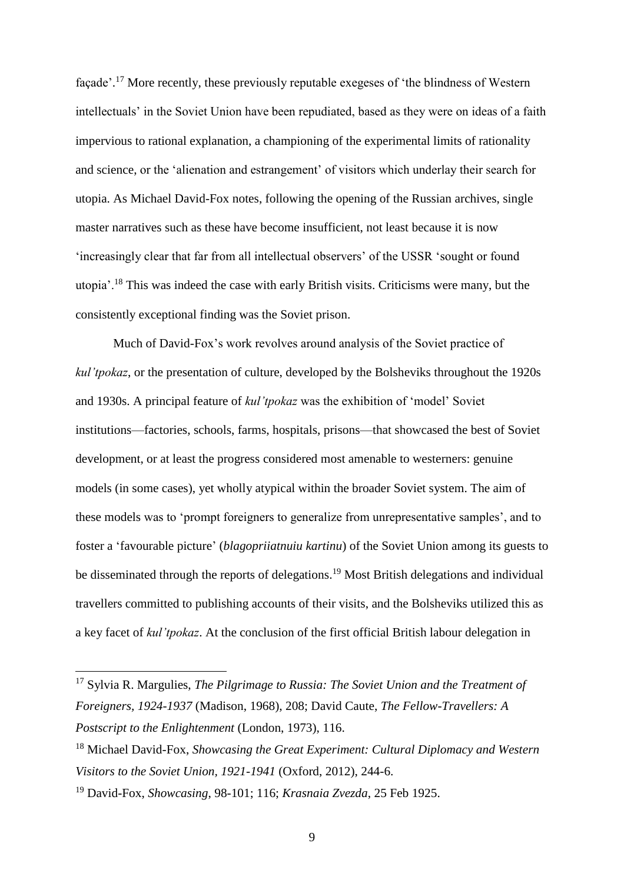façade'.<sup>17</sup> More recently, these previously reputable exegeses of 'the blindness of Western intellectuals' in the Soviet Union have been repudiated, based as they were on ideas of a faith impervious to rational explanation, a championing of the experimental limits of rationality and science, or the 'alienation and estrangement' of visitors which underlay their search for utopia. As Michael David-Fox notes, following the opening of the Russian archives, single master narratives such as these have become insufficient, not least because it is now 'increasingly clear that far from all intellectual observers' of the USSR 'sought or found utopia'.<sup>18</sup> This was indeed the case with early British visits. Criticisms were many, but the consistently exceptional finding was the Soviet prison.

Much of David-Fox's work revolves around analysis of the Soviet practice of *kul'tpokaz*, or the presentation of culture, developed by the Bolsheviks throughout the 1920s and 1930s. A principal feature of *kul'tpokaz* was the exhibition of 'model' Soviet institutions—factories, schools, farms, hospitals, prisons—that showcased the best of Soviet development, or at least the progress considered most amenable to westerners: genuine models (in some cases), yet wholly atypical within the broader Soviet system. The aim of these models was to 'prompt foreigners to generalize from unrepresentative samples', and to foster a 'favourable picture' (*blagopriiatnuiu kartinu*) of the Soviet Union among its guests to be disseminated through the reports of delegations.<sup>19</sup> Most British delegations and individual travellers committed to publishing accounts of their visits, and the Bolsheviks utilized this as a key facet of *kul'tpokaz*. At the conclusion of the first official British labour delegation in

<sup>17</sup> Sylvia R. Margulies, *The Pilgrimage to Russia: The Soviet Union and the Treatment of Foreigners, 1924-1937* (Madison, 1968), 208; David Caute, *The Fellow-Travellers: A Postscript to the Enlightenment* (London, 1973), 116.

<sup>18</sup> Michael David-Fox, *Showcasing the Great Experiment: Cultural Diplomacy and Western Visitors to the Soviet Union, 1921-1941* (Oxford, 2012), 244-6.

<sup>19</sup> David-Fox, *Showcasing*, 98-101; 116; *Krasnaia Zvezda*, 25 Feb 1925.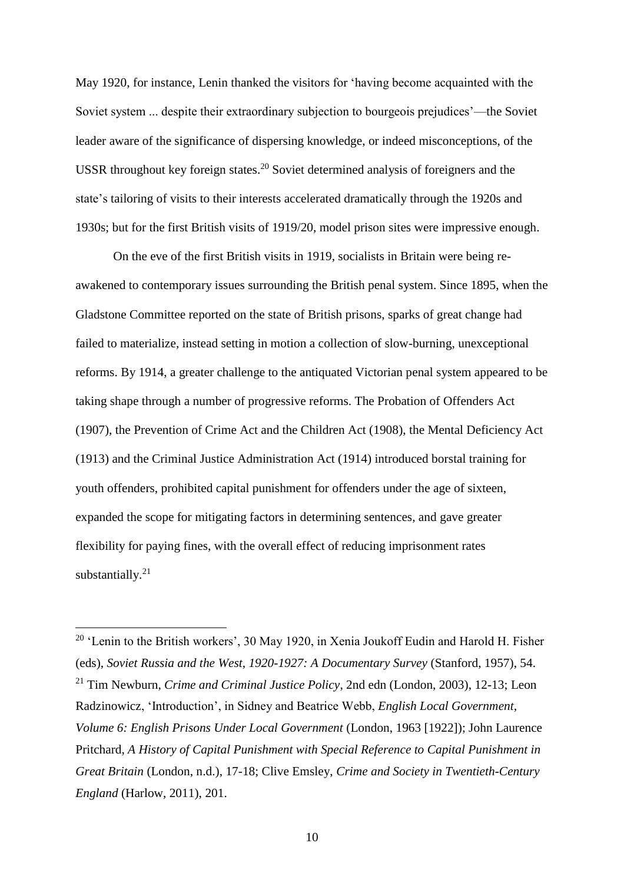May 1920, for instance, Lenin thanked the visitors for 'having become acquainted with the Soviet system ... despite their extraordinary subjection to bourgeois prejudices'—the Soviet leader aware of the significance of dispersing knowledge, or indeed misconceptions, of the USSR throughout key foreign states.<sup>20</sup> Soviet determined analysis of foreigners and the state's tailoring of visits to their interests accelerated dramatically through the 1920s and 1930s; but for the first British visits of 1919/20, model prison sites were impressive enough.

On the eve of the first British visits in 1919, socialists in Britain were being reawakened to contemporary issues surrounding the British penal system. Since 1895, when the Gladstone Committee reported on the state of British prisons, sparks of great change had failed to materialize, instead setting in motion a collection of slow-burning, unexceptional reforms. By 1914, a greater challenge to the antiquated Victorian penal system appeared to be taking shape through a number of progressive reforms. The Probation of Offenders Act (1907), the Prevention of Crime Act and the Children Act (1908), the Mental Deficiency Act (1913) and the Criminal Justice Administration Act (1914) introduced borstal training for youth offenders, prohibited capital punishment for offenders under the age of sixteen, expanded the scope for mitigating factors in determining sentences, and gave greater flexibility for paying fines, with the overall effect of reducing imprisonment rates substantially.<sup>21</sup>

 $20$  'Lenin to the British workers', 30 May 1920, in Xenia Joukoff Eudin and Harold H. Fisher (eds), *Soviet Russia and the West, 1920-1927: A Documentary Survey* (Stanford, 1957), 54. <sup>21</sup> Tim Newburn, *Crime and Criminal Justice Policy*, 2nd edn (London, 2003), 12-13; Leon Radzinowicz, 'Introduction', in Sidney and Beatrice Webb, *English Local Government, Volume 6: English Prisons Under Local Government* (London, 1963 [1922]); John Laurence Pritchard, *A History of Capital Punishment with Special Reference to Capital Punishment in Great Britain* (London, n.d.), 17-18; Clive Emsley, *Crime and Society in Twentieth-Century England* (Harlow, 2011), 201.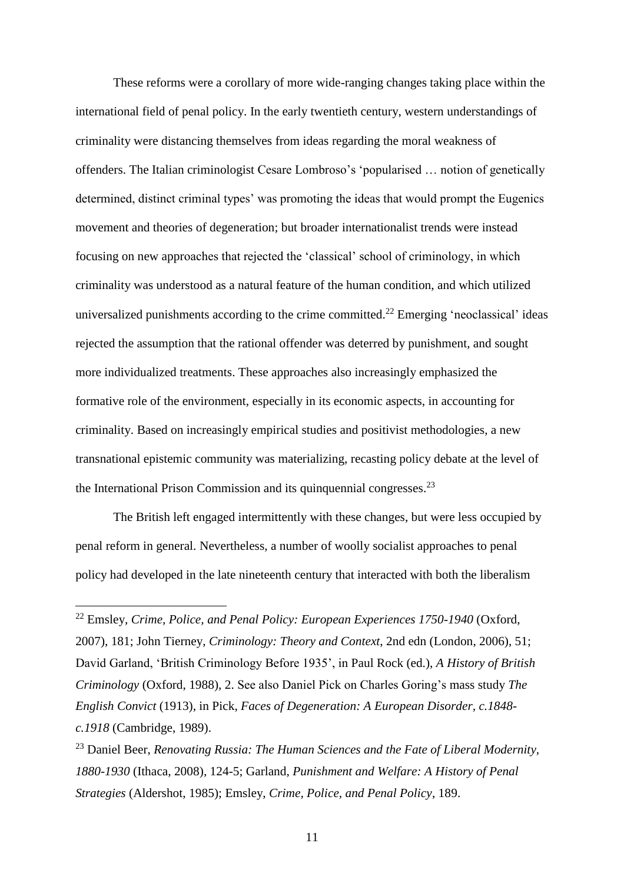These reforms were a corollary of more wide-ranging changes taking place within the international field of penal policy. In the early twentieth century, western understandings of criminality were distancing themselves from ideas regarding the moral weakness of offenders. The Italian criminologist Cesare Lombroso's 'popularised … notion of genetically determined, distinct criminal types' was promoting the ideas that would prompt the Eugenics movement and theories of degeneration; but broader internationalist trends were instead focusing on new approaches that rejected the 'classical' school of criminology, in which criminality was understood as a natural feature of the human condition, and which utilized universalized punishments according to the crime committed.<sup>22</sup> Emerging 'neoclassical' ideas rejected the assumption that the rational offender was deterred by punishment, and sought more individualized treatments. These approaches also increasingly emphasized the formative role of the environment, especially in its economic aspects, in accounting for criminality. Based on increasingly empirical studies and positivist methodologies, a new transnational epistemic community was materializing, recasting policy debate at the level of the International Prison Commission and its quinquennial congresses.<sup>23</sup>

The British left engaged intermittently with these changes, but were less occupied by penal reform in general. Nevertheless, a number of woolly socialist approaches to penal policy had developed in the late nineteenth century that interacted with both the liberalism

<sup>22</sup> Emsley, *Crime, Police, and Penal Policy: European Experiences 1750-1940* (Oxford, 2007), 181; John Tierney, *Criminology: Theory and Context*, 2nd edn (London, 2006), 51; David Garland, 'British Criminology Before 1935', in Paul Rock (ed.), *A History of British Criminology* (Oxford, 1988), 2. See also Daniel Pick on Charles Goring's mass study *The English Convict* (1913), in Pick, *Faces of Degeneration: A European Disorder, c.1848 c.1918* (Cambridge, 1989).

<sup>23</sup> Daniel Beer, *Renovating Russia: The Human Sciences and the Fate of Liberal Modernity, 1880-1930* (Ithaca, 2008), 124-5; Garland, *Punishment and Welfare: A History of Penal Strategies* (Aldershot, 1985); Emsley, *Crime, Police, and Penal Policy*, 189.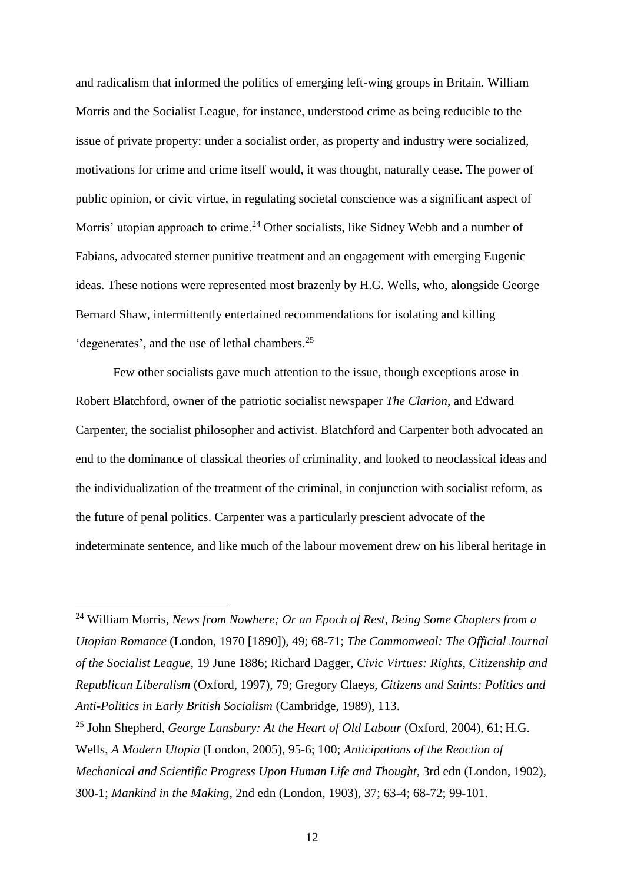and radicalism that informed the politics of emerging left-wing groups in Britain. William Morris and the Socialist League, for instance, understood crime as being reducible to the issue of private property: under a socialist order, as property and industry were socialized, motivations for crime and crime itself would, it was thought, naturally cease. The power of public opinion, or civic virtue, in regulating societal conscience was a significant aspect of Morris' utopian approach to crime.<sup>24</sup> Other socialists, like Sidney Webb and a number of Fabians, advocated sterner punitive treatment and an engagement with emerging Eugenic ideas. These notions were represented most brazenly by H.G. Wells, who, alongside George Bernard Shaw, intermittently entertained recommendations for isolating and killing 'degenerates', and the use of lethal chambers.<sup>25</sup>

Few other socialists gave much attention to the issue, though exceptions arose in Robert Blatchford, owner of the patriotic socialist newspaper *The Clarion*, and Edward Carpenter, the socialist philosopher and activist. Blatchford and Carpenter both advocated an end to the dominance of classical theories of criminality, and looked to neoclassical ideas and the individualization of the treatment of the criminal, in conjunction with socialist reform, as the future of penal politics. Carpenter was a particularly prescient advocate of the indeterminate sentence, and like much of the labour movement drew on his liberal heritage in

<sup>24</sup> William Morris, *News from Nowhere; Or an Epoch of Rest, Being Some Chapters from a Utopian Romance* (London, 1970 [1890]), 49; 68-71; *The Commonweal: The Official Journal of the Socialist League*, 19 June 1886; Richard Dagger, *Civic Virtues: Rights, Citizenship and Republican Liberalism* (Oxford, 1997), 79; Gregory Claeys, *Citizens and Saints: Politics and Anti-Politics in Early British Socialism* (Cambridge, 1989), 113.

<sup>25</sup> John Shepherd, *George Lansbury: At the Heart of Old Labour* (Oxford, 2004), 61; H.G. Wells, *A Modern Utopia* (London, 2005), 95-6; 100; *Anticipations of the Reaction of Mechanical and Scientific Progress Upon Human Life and Thought*, 3rd edn (London, 1902), 300-1; *Mankind in the Making*, 2nd edn (London, 1903), 37; 63-4; 68-72; 99-101.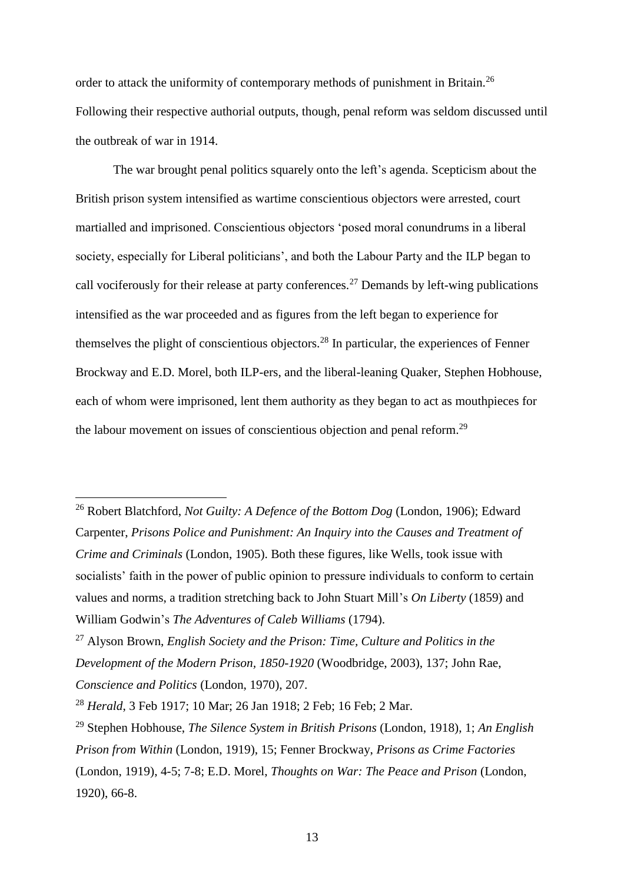order to attack the uniformity of contemporary methods of punishment in Britain.<sup>26</sup> Following their respective authorial outputs, though, penal reform was seldom discussed until the outbreak of war in 1914.

The war brought penal politics squarely onto the left's agenda. Scepticism about the British prison system intensified as wartime conscientious objectors were arrested, court martialled and imprisoned. Conscientious objectors 'posed moral conundrums in a liberal society, especially for Liberal politicians', and both the Labour Party and the ILP began to call vociferously for their release at party conferences.<sup>27</sup> Demands by left-wing publications intensified as the war proceeded and as figures from the left began to experience for themselves the plight of conscientious objectors.<sup>28</sup> In particular, the experiences of Fenner Brockway and E.D. Morel, both ILP-ers, and the liberal-leaning Quaker, Stephen Hobhouse, each of whom were imprisoned, lent them authority as they began to act as mouthpieces for the labour movement on issues of conscientious objection and penal reform.<sup>29</sup>

<sup>26</sup> Robert Blatchford, *Not Guilty: A Defence of the Bottom Dog* (London, 1906); Edward Carpenter, *Prisons Police and Punishment: An Inquiry into the Causes and Treatment of Crime and Criminals* (London, 1905). Both these figures, like Wells, took issue with socialists' faith in the power of public opinion to pressure individuals to conform to certain values and norms, a tradition stretching back to John Stuart Mill's *On Liberty* (1859) and William Godwin's *The Adventures of Caleb Williams* (1794).

<sup>27</sup> Alyson Brown, *English Society and the Prison: Time, Culture and Politics in the Development of the Modern Prison, 1850-1920* (Woodbridge, 2003), 137; John Rae, *Conscience and Politics* (London, 1970), 207.

<sup>28</sup> *Herald*, 3 Feb 1917; 10 Mar; 26 Jan 1918; 2 Feb; 16 Feb; 2 Mar.

<sup>29</sup> Stephen Hobhouse, *The Silence System in British Prisons* (London, 1918), 1; *An English Prison from Within* (London, 1919), 15; Fenner Brockway, *Prisons as Crime Factories* (London, 1919), 4-5; 7-8; E.D. Morel, *Thoughts on War: The Peace and Prison* (London, 1920), 66-8.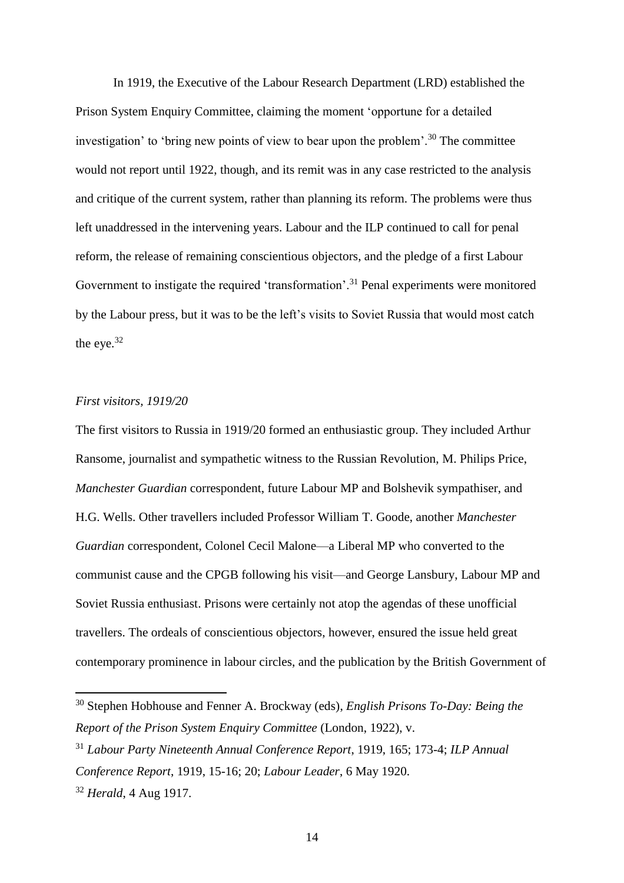In 1919, the Executive of the Labour Research Department (LRD) established the Prison System Enquiry Committee, claiming the moment 'opportune for a detailed investigation' to 'bring new points of view to bear upon the problem'.<sup>30</sup> The committee would not report until 1922, though, and its remit was in any case restricted to the analysis and critique of the current system, rather than planning its reform. The problems were thus left unaddressed in the intervening years. Labour and the ILP continued to call for penal reform, the release of remaining conscientious objectors, and the pledge of a first Labour Government to instigate the required 'transformation'.<sup>31</sup> Penal experiments were monitored by the Labour press, but it was to be the left's visits to Soviet Russia that would most catch the eye.<sup>32</sup>

## *First visitors, 1919/20*

The first visitors to Russia in 1919/20 formed an enthusiastic group. They included Arthur Ransome, journalist and sympathetic witness to the Russian Revolution, M. Philips Price, *Manchester Guardian* correspondent, future Labour MP and Bolshevik sympathiser, and H.G. Wells. Other travellers included Professor William T. Goode, another *Manchester Guardian* correspondent, Colonel Cecil Malone—a Liberal MP who converted to the communist cause and the CPGB following his visit—and George Lansbury, Labour MP and Soviet Russia enthusiast. Prisons were certainly not atop the agendas of these unofficial travellers. The ordeals of conscientious objectors, however, ensured the issue held great contemporary prominence in labour circles, and the publication by the British Government of

<sup>30</sup> Stephen Hobhouse and Fenner A. Brockway (eds), *English Prisons To-Day: Being the Report of the Prison System Enquiry Committee* (London, 1922), v.

<sup>31</sup> *Labour Party Nineteenth Annual Conference Report*, 1919, 165; 173-4; *ILP Annual Conference Report*, 1919, 15-16; 20; *Labour Leader*, 6 May 1920.

<sup>32</sup> *Herald*, 4 Aug 1917.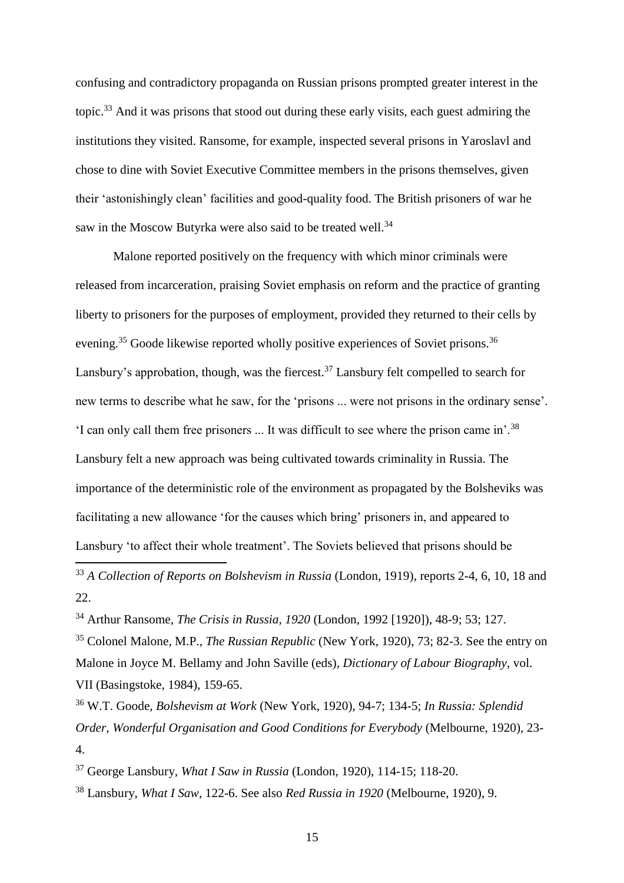confusing and contradictory propaganda on Russian prisons prompted greater interest in the topic.<sup>33</sup> And it was prisons that stood out during these early visits, each guest admiring the institutions they visited. Ransome, for example, inspected several prisons in Yaroslavl and chose to dine with Soviet Executive Committee members in the prisons themselves, given their 'astonishingly clean' facilities and good-quality food. The British prisoners of war he saw in the Moscow Butyrka were also said to be treated well.<sup>34</sup>

Malone reported positively on the frequency with which minor criminals were released from incarceration, praising Soviet emphasis on reform and the practice of granting liberty to prisoners for the purposes of employment, provided they returned to their cells by evening.<sup>35</sup> Goode likewise reported wholly positive experiences of Soviet prisons.<sup>36</sup> Lansbury's approbation, though, was the fiercest.<sup>37</sup> Lansbury felt compelled to search for new terms to describe what he saw, for the 'prisons ... were not prisons in the ordinary sense'. 'I can only call them free prisoners ... It was difficult to see where the prison came in'.<sup>38</sup> Lansbury felt a new approach was being cultivated towards criminality in Russia. The importance of the deterministic role of the environment as propagated by the Bolsheviks was facilitating a new allowance 'for the causes which bring' prisoners in, and appeared to Lansbury 'to affect their whole treatment'. The Soviets believed that prisons should be

<sup>33</sup> *A Collection of Reports on Bolshevism in Russia* (London, 1919), reports 2-4, 6, 10, 18 and 22.

<sup>34</sup> Arthur Ransome, *The Crisis in Russia, 1920* (London, 1992 [1920]), 48-9; 53; 127.

 $\overline{a}$ 

<sup>35</sup> Colonel Malone, M.P., *The Russian Republic* (New York, 1920), 73; 82-3. See the entry on Malone in Joyce M. Bellamy and John Saville (eds), *Dictionary of Labour Biography*, vol. VII (Basingstoke, 1984), 159-65.

<sup>36</sup> W.T. Goode, *Bolshevism at Work* (New York, 1920), 94-7; 134-5; *In Russia: Splendid Order, Wonderful Organisation and Good Conditions for Everybody* (Melbourne, 1920), 23- 4.

<sup>37</sup> George Lansbury, *What I Saw in Russia* (London, 1920), 114-15; 118-20.

<sup>38</sup> Lansbury, *What I Saw*, 122-6. See also *Red Russia in 1920* (Melbourne, 1920), 9.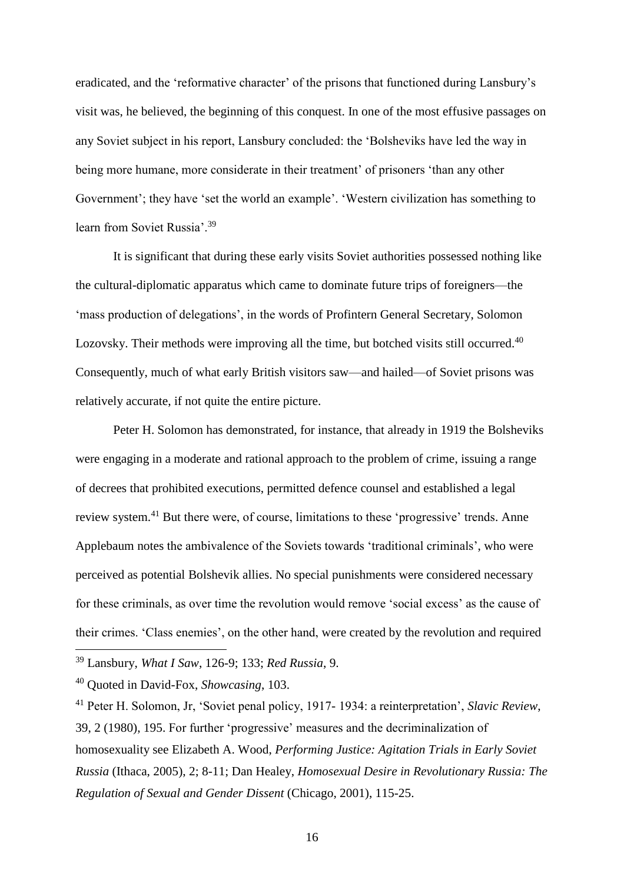eradicated, and the 'reformative character' of the prisons that functioned during Lansbury's visit was, he believed, the beginning of this conquest. In one of the most effusive passages on any Soviet subject in his report, Lansbury concluded: the 'Bolsheviks have led the way in being more humane, more considerate in their treatment' of prisoners 'than any other Government'; they have 'set the world an example'. 'Western civilization has something to learn from Soviet Russia'.<sup>39</sup>

It is significant that during these early visits Soviet authorities possessed nothing like the cultural-diplomatic apparatus which came to dominate future trips of foreigners—the 'mass production of delegations', in the words of Profintern General Secretary, Solomon Lozovsky. Their methods were improving all the time, but botched visits still occurred.<sup>40</sup> Consequently, much of what early British visitors saw—and hailed—of Soviet prisons was relatively accurate, if not quite the entire picture.

Peter H. Solomon has demonstrated, for instance, that already in 1919 the Bolsheviks were engaging in a moderate and rational approach to the problem of crime, issuing a range of decrees that prohibited executions, permitted defence counsel and established a legal review system.<sup>41</sup> But there were, of course, limitations to these 'progressive' trends. Anne Applebaum notes the ambivalence of the Soviets towards 'traditional criminals', who were perceived as potential Bolshevik allies. No special punishments were considered necessary for these criminals, as over time the revolution would remove 'social excess' as the cause of their crimes. 'Class enemies', on the other hand, were created by the revolution and required

<sup>39</sup> Lansbury, *What I Saw*, 126-9; 133; *Red Russia*, 9.

<sup>40</sup> Quoted in David-Fox, *Showcasing*, 103.

<sup>41</sup> Peter H. Solomon, Jr, 'Soviet penal policy, 1917- 1934: a reinterpretation', *Slavic Review*, 39, 2 (1980), 195. For further 'progressive' measures and the decriminalization of homosexuality see Elizabeth A. Wood, *Performing Justice: Agitation Trials in Early Soviet Russia* (Ithaca, 2005), 2; 8-11; Dan Healey, *Homosexual Desire in Revolutionary Russia: The Regulation of Sexual and Gender Dissent* (Chicago, 2001), 115-25.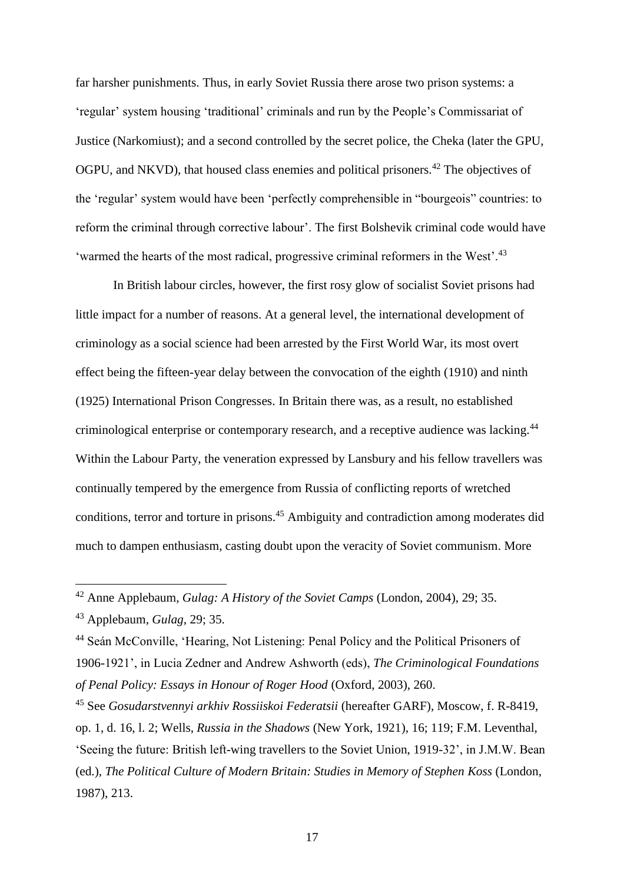far harsher punishments. Thus, in early Soviet Russia there arose two prison systems: a 'regular' system housing 'traditional' criminals and run by the People's Commissariat of Justice (Narkomiust); and a second controlled by the secret police, the Cheka (later the GPU, OGPU, and NKVD), that housed class enemies and political prisoners.<sup>42</sup> The objectives of the 'regular' system would have been 'perfectly comprehensible in "bourgeois" countries: to reform the criminal through corrective labour'. The first Bolshevik criminal code would have 'warmed the hearts of the most radical, progressive criminal reformers in the West'.<sup>43</sup>

In British labour circles, however, the first rosy glow of socialist Soviet prisons had little impact for a number of reasons. At a general level, the international development of criminology as a social science had been arrested by the First World War, its most overt effect being the fifteen-year delay between the convocation of the eighth (1910) and ninth (1925) International Prison Congresses. In Britain there was, as a result, no established criminological enterprise or contemporary research, and a receptive audience was lacking.<sup>44</sup> Within the Labour Party, the veneration expressed by Lansbury and his fellow travellers was continually tempered by the emergence from Russia of conflicting reports of wretched conditions, terror and torture in prisons.<sup>45</sup> Ambiguity and contradiction among moderates did much to dampen enthusiasm, casting doubt upon the veracity of Soviet communism. More

<sup>42</sup> Anne Applebaum, *Gulag: A History of the Soviet Camps* (London, 2004), 29; 35.

<sup>43</sup> Applebaum, *Gulag*, 29; 35.

<sup>44</sup> Seán McConville, 'Hearing, Not Listening: Penal Policy and the Political Prisoners of 1906-1921', in Lucia Zedner and Andrew Ashworth (eds), *The Criminological Foundations of Penal Policy: Essays in Honour of Roger Hood* (Oxford, 2003), 260.

<sup>45</sup> See *Gosudarstvennyi arkhiv Rossiiskoi Federatsii* (hereafter GARF), Moscow, f. R-8419, op. 1, d. 16, l. 2; Wells, *Russia in the Shadows* (New York, 1921), 16; 119; F.M. Leventhal, 'Seeing the future: British left-wing travellers to the Soviet Union, 1919-32', in J.M.W. Bean (ed.), *The Political Culture of Modern Britain: Studies in Memory of Stephen Koss* (London, 1987), 213.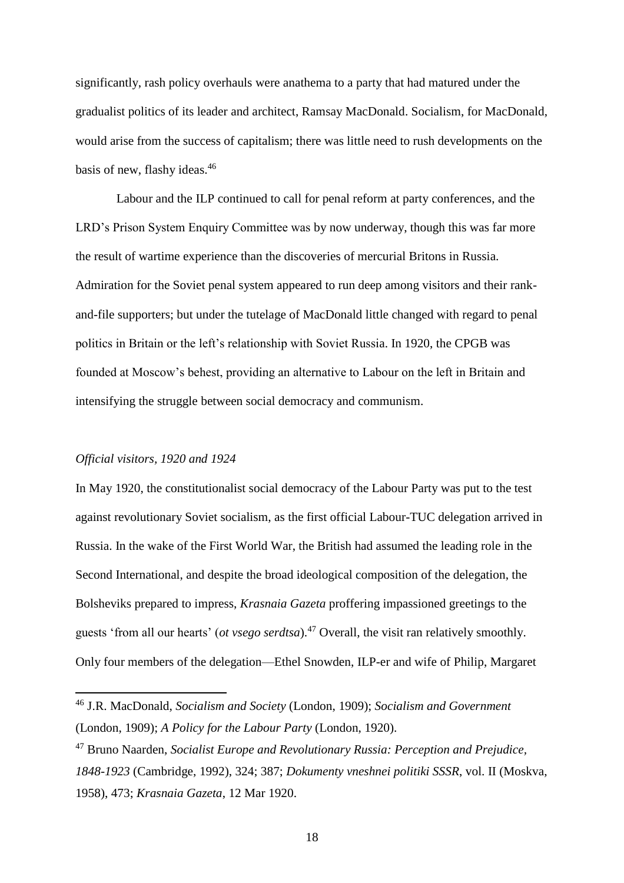significantly, rash policy overhauls were anathema to a party that had matured under the gradualist politics of its leader and architect, Ramsay MacDonald. Socialism, for MacDonald, would arise from the success of capitalism; there was little need to rush developments on the basis of new, flashy ideas. 46

Labour and the ILP continued to call for penal reform at party conferences, and the LRD's Prison System Enquiry Committee was by now underway, though this was far more the result of wartime experience than the discoveries of mercurial Britons in Russia. Admiration for the Soviet penal system appeared to run deep among visitors and their rankand-file supporters; but under the tutelage of MacDonald little changed with regard to penal politics in Britain or the left's relationship with Soviet Russia. In 1920, the CPGB was founded at Moscow's behest, providing an alternative to Labour on the left in Britain and intensifying the struggle between social democracy and communism.

#### *Official visitors, 1920 and 1924*

 $\overline{a}$ 

In May 1920, the constitutionalist social democracy of the Labour Party was put to the test against revolutionary Soviet socialism, as the first official Labour-TUC delegation arrived in Russia. In the wake of the First World War, the British had assumed the leading role in the Second International, and despite the broad ideological composition of the delegation, the Bolsheviks prepared to impress, *Krasnaia Gazeta* proffering impassioned greetings to the guests 'from all our hearts' (*ot vsego serdtsa*).<sup>47</sup> Overall, the visit ran relatively smoothly. Only four members of the delegation—Ethel Snowden, ILP-er and wife of Philip, Margaret

<sup>46</sup> J.R. MacDonald, *Socialism and Society* (London, 1909); *Socialism and Government* (London, 1909); *A Policy for the Labour Party* (London, 1920).

<sup>47</sup> Bruno Naarden, *Socialist Europe and Revolutionary Russia: Perception and Prejudice, 1848-1923* (Cambridge, 1992), 324; 387; *Dokumenty vneshnei politiki SSSR*, vol. II (Moskva, 1958), 473; *Krasnaia Gazeta*, 12 Mar 1920.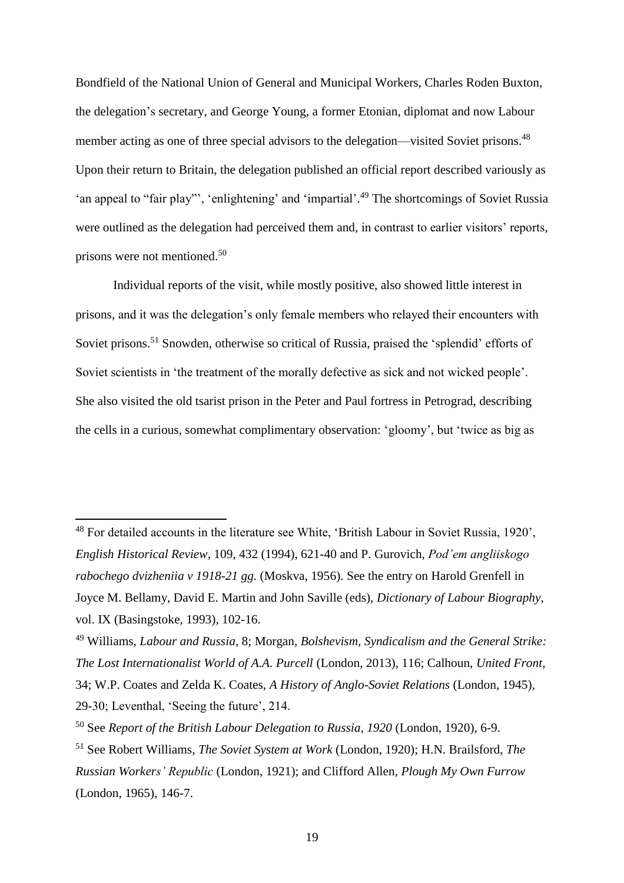Bondfield of the National Union of General and Municipal Workers, Charles Roden Buxton, the delegation's secretary, and George Young, a former Etonian, diplomat and now Labour member acting as one of three special advisors to the delegation—visited Soviet prisons.<sup>48</sup> Upon their return to Britain, the delegation published an official report described variously as 'an appeal to "fair play"', 'enlightening' and 'impartial'. <sup>49</sup> The shortcomings of Soviet Russia were outlined as the delegation had perceived them and, in contrast to earlier visitors' reports, prisons were not mentioned.<sup>50</sup>

Individual reports of the visit, while mostly positive, also showed little interest in prisons, and it was the delegation's only female members who relayed their encounters with Soviet prisons.<sup>51</sup> Snowden, otherwise so critical of Russia, praised the 'splendid' efforts of Soviet scientists in 'the treatment of the morally defective as sick and not wicked people'. She also visited the old tsarist prison in the Peter and Paul fortress in Petrograd, describing the cells in a curious, somewhat complimentary observation: 'gloomy', but 'twice as big as

<sup>48</sup> For detailed accounts in the literature see White, 'British Labour in Soviet Russia, 1920', *English Historical Review*, 109, 432 (1994), 621-40 and P. Gurovich, *Pod'em angliiskogo rabochego dvizheniia v 1918-21 gg.* (Moskva, 1956). See the entry on Harold Grenfell in Joyce M. Bellamy, David E. Martin and John Saville (eds), *Dictionary of Labour Biography*, vol. IX (Basingstoke, 1993), 102-16.

<sup>49</sup> Williams, *Labour and Russia*, 8; Morgan, *Bolshevism, Syndicalism and the General Strike: The Lost Internationalist World of A.A. Purcell* (London, 2013), 116; Calhoun, *United Front*, 34; W.P. Coates and Zelda K. Coates, *A History of Anglo-Soviet Relations* (London, 1945), 29-30; Leventhal, 'Seeing the future', 214.

<sup>50</sup> See *Report of the British Labour Delegation to Russia, 1920* (London, 1920), 6-9.

<sup>51</sup> See Robert Williams, *The Soviet System at Work* (London, 1920); H.N. Brailsford, *The Russian Workers' Republic* (London, 1921); and Clifford Allen, *Plough My Own Furrow* (London, 1965), 146-7.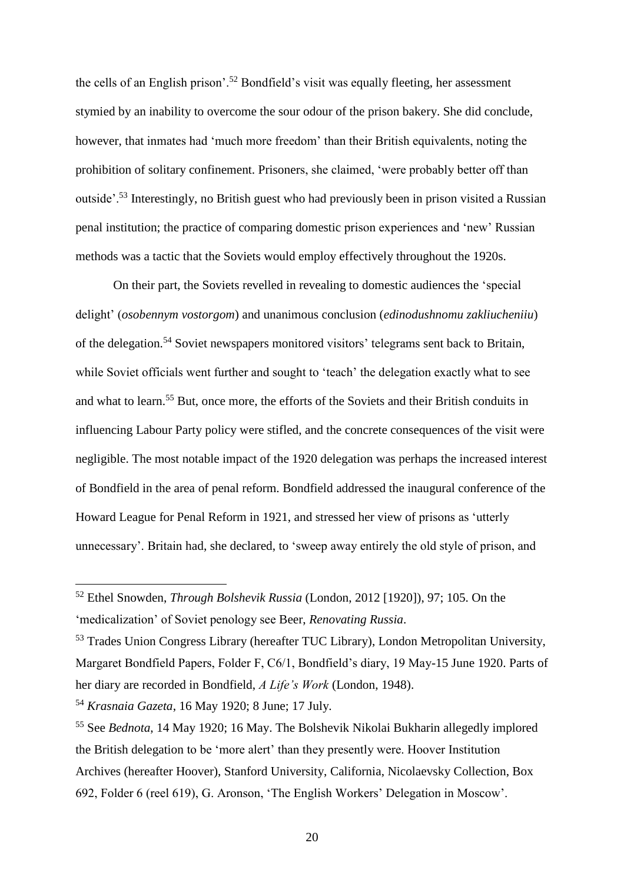the cells of an English prison'.<sup>52</sup> Bondfield's visit was equally fleeting, her assessment stymied by an inability to overcome the sour odour of the prison bakery. She did conclude, however, that inmates had 'much more freedom' than their British equivalents, noting the prohibition of solitary confinement. Prisoners, she claimed, 'were probably better off than outside'.<sup>53</sup> Interestingly, no British guest who had previously been in prison visited a Russian penal institution; the practice of comparing domestic prison experiences and 'new' Russian methods was a tactic that the Soviets would employ effectively throughout the 1920s.

On their part, the Soviets revelled in revealing to domestic audiences the 'special delight' (*osobennym vostorgom*) and unanimous conclusion (*edinodushnomu zakliucheniiu*) of the delegation.<sup>54</sup> Soviet newspapers monitored visitors' telegrams sent back to Britain, while Soviet officials went further and sought to 'teach' the delegation exactly what to see and what to learn. <sup>55</sup> But, once more, the efforts of the Soviets and their British conduits in influencing Labour Party policy were stifled, and the concrete consequences of the visit were negligible. The most notable impact of the 1920 delegation was perhaps the increased interest of Bondfield in the area of penal reform. Bondfield addressed the inaugural conference of the Howard League for Penal Reform in 1921, and stressed her view of prisons as 'utterly unnecessary'. Britain had, she declared, to 'sweep away entirely the old style of prison, and

<sup>52</sup> Ethel Snowden, *Through Bolshevik Russia* (London, 2012 [1920]), 97; 105. On the 'medicalization' of Soviet penology see Beer, *Renovating Russia*.

<sup>&</sup>lt;sup>53</sup> Trades Union Congress Library (hereafter TUC Library), London Metropolitan University, Margaret Bondfield Papers, Folder F, C6/1, Bondfield's diary, 19 May-15 June 1920. Parts of her diary are recorded in Bondfield, *A Life's Work* (London, 1948).

<sup>54</sup> *Krasnaia Gazeta*, 16 May 1920; 8 June; 17 July.

<sup>55</sup> See *Bednota*, 14 May 1920; 16 May. The Bolshevik Nikolai Bukharin allegedly implored the British delegation to be 'more alert' than they presently were. Hoover Institution Archives (hereafter Hoover), Stanford University, California, Nicolaevsky Collection, Box 692, Folder 6 (reel 619), G. Aronson, 'The English Workers' Delegation in Moscow'.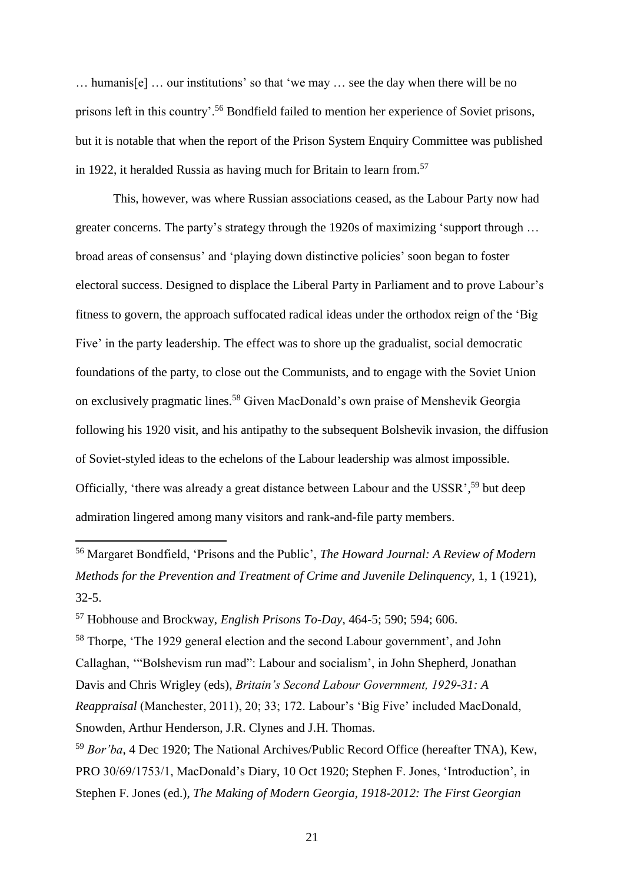… humanis[e] … our institutions' so that 'we may … see the day when there will be no prisons left in this country'.<sup>56</sup> Bondfield failed to mention her experience of Soviet prisons, but it is notable that when the report of the Prison System Enquiry Committee was published in 1922, it heralded Russia as having much for Britain to learn from.<sup>57</sup>

This, however, was where Russian associations ceased, as the Labour Party now had greater concerns. The party's strategy through the 1920s of maximizing 'support through … broad areas of consensus' and 'playing down distinctive policies' soon began to foster electoral success. Designed to displace the Liberal Party in Parliament and to prove Labour's fitness to govern, the approach suffocated radical ideas under the orthodox reign of the 'Big Five' in the party leadership. The effect was to shore up the gradualist, social democratic foundations of the party, to close out the Communists, and to engage with the Soviet Union on exclusively pragmatic lines.<sup>58</sup> Given MacDonald's own praise of Menshevik Georgia following his 1920 visit, and his antipathy to the subsequent Bolshevik invasion, the diffusion of Soviet-styled ideas to the echelons of the Labour leadership was almost impossible. Officially, 'there was already a great distance between Labour and the USSR',<sup>59</sup> but deep admiration lingered among many visitors and rank-and-file party members.

<sup>56</sup> Margaret Bondfield, 'Prisons and the Public', *The Howard Journal: A Review of Modern Methods for the Prevention and Treatment of Crime and Juvenile Delinquency*, 1, 1 (1921), 32-5.

<sup>57</sup> Hobhouse and Brockway, *English Prisons To-Day*, 464-5; 590; 594; 606.

<sup>58</sup> Thorpe, 'The 1929 general election and the second Labour government', and John Callaghan, '"Bolshevism run mad": Labour and socialism', in John Shepherd, Jonathan Davis and Chris Wrigley (eds), *Britain's Second Labour Government, 1929-31: A Reappraisal* (Manchester, 2011), 20; 33; 172. Labour's 'Big Five' included MacDonald, Snowden, Arthur Henderson, J.R. Clynes and J.H. Thomas.

<sup>59</sup> *Bor'ba*, 4 Dec 1920; The National Archives/Public Record Office (hereafter TNA), Kew, PRO 30/69/1753/1, MacDonald's Diary, 10 Oct 1920; Stephen F. Jones, 'Introduction', in Stephen F. Jones (ed.), *The Making of Modern Georgia, 1918-2012: The First Georgian*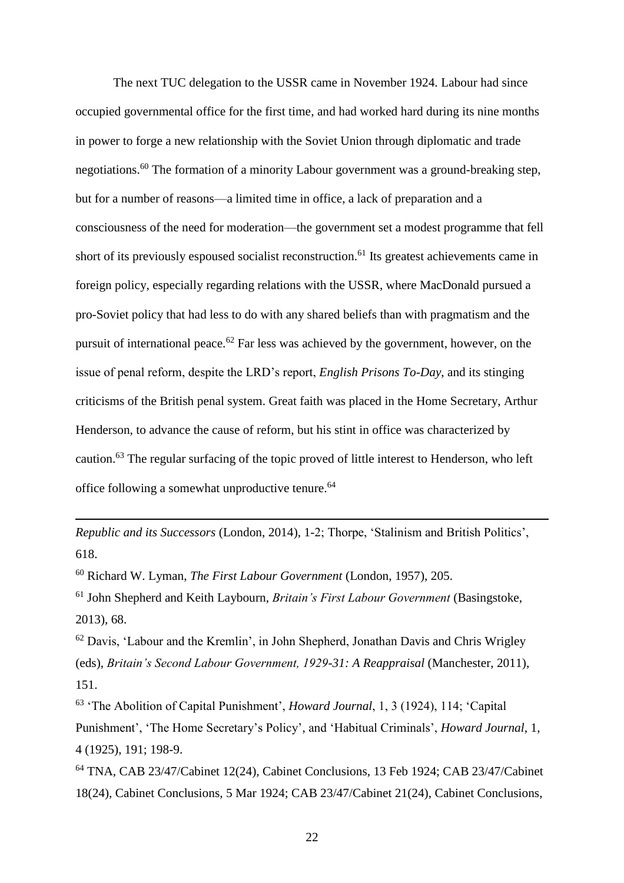The next TUC delegation to the USSR came in November 1924. Labour had since occupied governmental office for the first time, and had worked hard during its nine months in power to forge a new relationship with the Soviet Union through diplomatic and trade negotiations.<sup>60</sup> The formation of a minority Labour government was a ground-breaking step, but for a number of reasons—a limited time in office, a lack of preparation and a consciousness of the need for moderation—the government set a modest programme that fell short of its previously espoused socialist reconstruction.<sup>61</sup> Its greatest achievements came in foreign policy, especially regarding relations with the USSR, where MacDonald pursued a pro-Soviet policy that had less to do with any shared beliefs than with pragmatism and the pursuit of international peace.<sup>62</sup> Far less was achieved by the government, however, on the issue of penal reform, despite the LRD's report, *English Prisons To-Day*, and its stinging criticisms of the British penal system. Great faith was placed in the Home Secretary, Arthur Henderson, to advance the cause of reform, but his stint in office was characterized by caution.<sup>63</sup> The regular surfacing of the topic proved of little interest to Henderson, who left office following a somewhat unproductive tenure.<sup>64</sup>

*Republic and its Successors* (London, 2014), 1-2; Thorpe, 'Stalinism and British Politics', 618.

<sup>60</sup> Richard W. Lyman, *The First Labour Government* (London, 1957), 205.

l

<sup>61</sup> John Shepherd and Keith Laybourn, *Britain's First Labour Government* (Basingstoke, 2013), 68.

<sup>62</sup> Davis, 'Labour and the Kremlin', in John Shepherd, Jonathan Davis and Chris Wrigley (eds), *Britain's Second Labour Government, 1929-31: A Reappraisal* (Manchester, 2011), 151.

<sup>63</sup> 'The Abolition of Capital Punishment', *Howard Journal*, 1, 3 (1924), 114; 'Capital Punishment', 'The Home Secretary's Policy', and 'Habitual Criminals', *Howard Journal*, 1, 4 (1925), 191; 198-9.

<sup>64</sup> TNA, CAB 23/47/Cabinet 12(24), Cabinet Conclusions, 13 Feb 1924; CAB 23/47/Cabinet 18(24), Cabinet Conclusions, 5 Mar 1924; CAB 23/47/Cabinet 21(24), Cabinet Conclusions,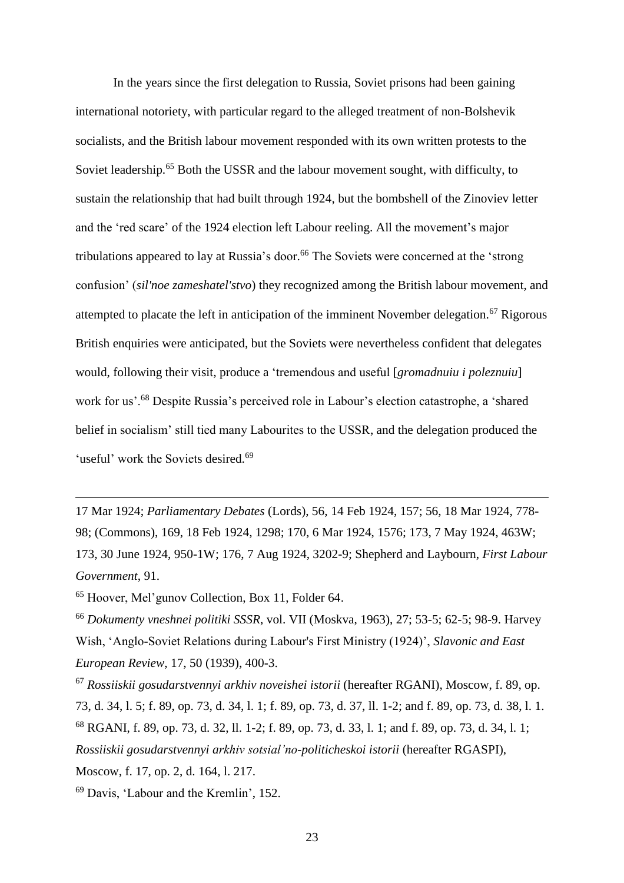In the years since the first delegation to Russia, Soviet prisons had been gaining international notoriety, with particular regard to the alleged treatment of non-Bolshevik socialists, and the British labour movement responded with its own written protests to the Soviet leadership.<sup>65</sup> Both the USSR and the labour movement sought, with difficulty, to sustain the relationship that had built through 1924, but the bombshell of the Zinoviev letter and the 'red scare' of the 1924 election left Labour reeling. All the movement's major tribulations appeared to lay at Russia's door. <sup>66</sup> The Soviets were concerned at the 'strong confusion' (*sil'noe zameshatel'stvo*) they recognized among the British labour movement, and attempted to placate the left in anticipation of the imminent November delegation.<sup>67</sup> Rigorous British enquiries were anticipated, but the Soviets were nevertheless confident that delegates would, following their visit, produce a 'tremendous and useful [*gromadnuiu i poleznuiu*] work for us'.<sup>68</sup> Despite Russia's perceived role in Labour's election catastrophe, a 'shared belief in socialism' still tied many Labourites to the USSR, and the delegation produced the 'useful' work the Soviets desired.<sup>69</sup>

17 Mar 1924; *Parliamentary Debates* (Lords), 56, 14 Feb 1924, 157; 56, 18 Mar 1924, 778- 98; (Commons), 169, 18 Feb 1924, 1298; 170, 6 Mar 1924, 1576; 173, 7 May 1924, 463W; 173, 30 June 1924, 950-1W; 176, 7 Aug 1924, 3202-9; Shepherd and Laybourn, *First Labour Government*, 91.

<sup>65</sup> Hoover, Mel'gunov Collection, Box 11, Folder 64.

l

<sup>66</sup> *Dokumenty vneshnei politiki SSSR*, vol. VII (Moskva, 1963), 27; 53-5; 62-5; 98-9. Harvey Wish, 'Anglo-Soviet Relations during Labour's First Ministry (1924)', *Slavonic and East European Review*, 17, 50 (1939), 400-3.

<sup>67</sup> *Rossiiskii gosudarstvennyi arkhiv noveishei istorii* (hereafter RGANI), Moscow, f. 89, op. 73, d. 34, l. 5; f. 89, op. 73, d. 34, l. 1; f. 89, op. 73, d. 37, ll. 1-2; and f. 89, op. 73, d. 38, l. 1. <sup>68</sup> RGANI, f. 89, op. 73, d. 32, ll. 1-2; f. 89, op. 73, d. 33, l. 1; and f. 89, op. 73, d. 34, l. 1; *Rossiiskii gosudarstvennyi arkhiv sotsial'no-politicheskoi istorii* (hereafter RGASPI), Moscow, f. 17, op. 2, d. 164, l. 217.

<sup>69</sup> Davis, 'Labour and the Kremlin', 152.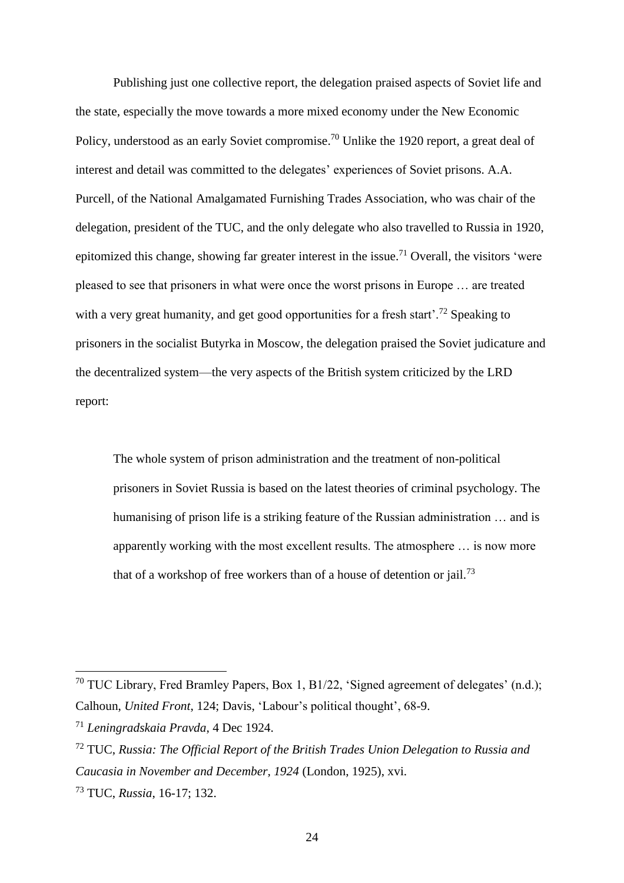Publishing just one collective report, the delegation praised aspects of Soviet life and the state, especially the move towards a more mixed economy under the New Economic Policy, understood as an early Soviet compromise.<sup>70</sup> Unlike the 1920 report, a great deal of interest and detail was committed to the delegates' experiences of Soviet prisons. A.A. Purcell, of the National Amalgamated Furnishing Trades Association, who was chair of the delegation, president of the TUC, and the only delegate who also travelled to Russia in 1920, epitomized this change, showing far greater interest in the issue.<sup>71</sup> Overall, the visitors 'were pleased to see that prisoners in what were once the worst prisons in Europe … are treated with a very great humanity, and get good opportunities for a fresh start'.<sup>72</sup> Speaking to prisoners in the socialist Butyrka in Moscow, the delegation praised the Soviet judicature and the decentralized system—the very aspects of the British system criticized by the LRD report:

The whole system of prison administration and the treatment of non-political prisoners in Soviet Russia is based on the latest theories of criminal psychology. The humanising of prison life is a striking feature of the Russian administration … and is apparently working with the most excellent results. The atmosphere … is now more that of a workshop of free workers than of a house of detention or jail.<sup>73</sup>

<sup>&</sup>lt;sup>70</sup> TUC Library, Fred Bramley Papers, Box 1, B1/22, 'Signed agreement of delegates'  $(n.d.)$ ; Calhoun, *United Front*, 124; Davis, 'Labour's political thought', 68-9.

<sup>71</sup> *Leningradskaia Pravda*, 4 Dec 1924.

<sup>72</sup> TUC, *Russia: The Official Report of the British Trades Union Delegation to Russia and Caucasia in November and December, 1924* (London, 1925), xvi.

<sup>73</sup> TUC, *Russia*, 16-17; 132.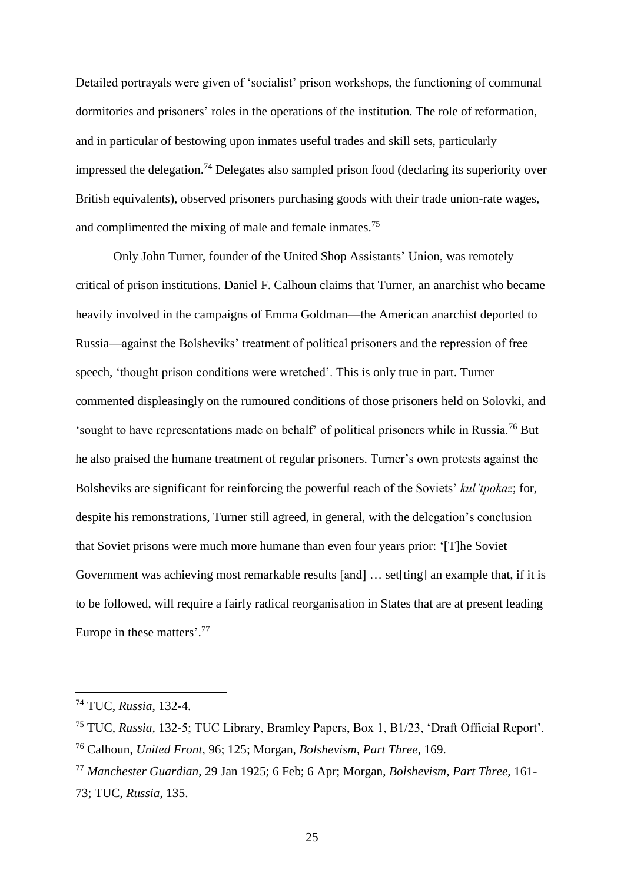Detailed portrayals were given of 'socialist' prison workshops, the functioning of communal dormitories and prisoners' roles in the operations of the institution. The role of reformation, and in particular of bestowing upon inmates useful trades and skill sets, particularly impressed the delegation. <sup>74</sup> Delegates also sampled prison food (declaring its superiority over British equivalents), observed prisoners purchasing goods with their trade union-rate wages, and complimented the mixing of male and female inmates.<sup>75</sup>

Only John Turner, founder of the United Shop Assistants' Union, was remotely critical of prison institutions. Daniel F. Calhoun claims that Turner, an anarchist who became heavily involved in the campaigns of Emma Goldman—the American anarchist deported to Russia—against the Bolsheviks' treatment of political prisoners and the repression of free speech, 'thought prison conditions were wretched'. This is only true in part. Turner commented displeasingly on the rumoured conditions of those prisoners held on Solovki, and 'sought to have representations made on behalf' of political prisoners while in Russia.<sup>76</sup> But he also praised the humane treatment of regular prisoners. Turner's own protests against the Bolsheviks are significant for reinforcing the powerful reach of the Soviets' *kul'tpokaz*; for, despite his remonstrations, Turner still agreed, in general, with the delegation's conclusion that Soviet prisons were much more humane than even four years prior: '[T]he Soviet Government was achieving most remarkable results [and] ... set[ting] an example that, if it is to be followed, will require a fairly radical reorganisation in States that are at present leading Europe in these matters'. 77

<sup>74</sup> TUC, *Russia*, 132-4.

<sup>75</sup> TUC, *Russia*, 132-5; TUC Library, Bramley Papers, Box 1, B1/23, 'Draft Official Report'.

<sup>76</sup> Calhoun, *United Front*, 96; 125; Morgan, *Bolshevism, Part Three,* 169.

<sup>77</sup> *Manchester Guardian*, 29 Jan 1925; 6 Feb; 6 Apr; Morgan, *Bolshevism, Part Three,* 161- 73; TUC, *Russia*, 135.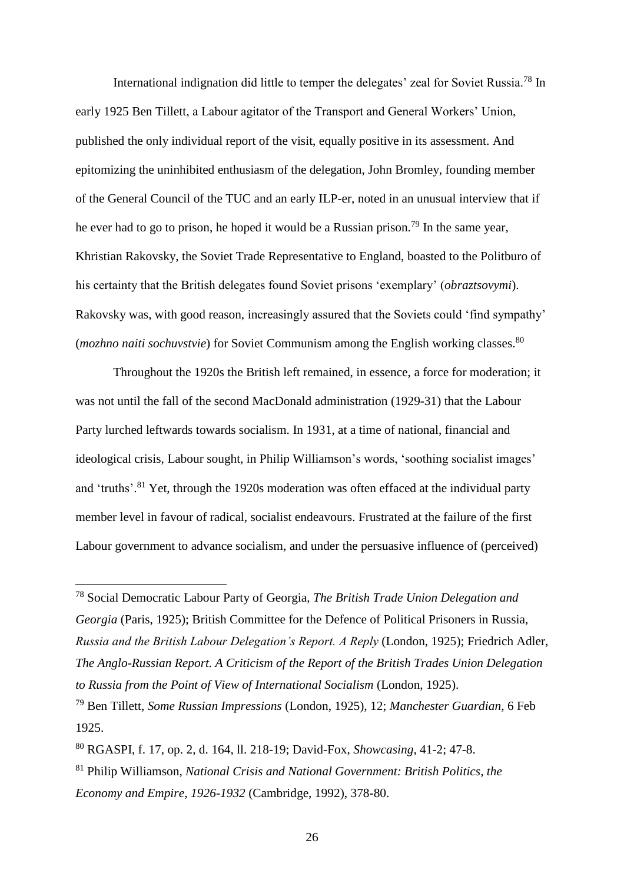International indignation did little to temper the delegates' zeal for Soviet Russia.<sup>78</sup> In early 1925 Ben Tillett, a Labour agitator of the Transport and General Workers' Union, published the only individual report of the visit, equally positive in its assessment. And epitomizing the uninhibited enthusiasm of the delegation, John Bromley, founding member of the General Council of the TUC and an early ILP-er, noted in an unusual interview that if he ever had to go to prison, he hoped it would be a Russian prison.<sup>79</sup> In the same year, Khristian Rakovsky, the Soviet Trade Representative to England, boasted to the Politburo of his certainty that the British delegates found Soviet prisons 'exemplary' (*obraztsovymi*). Rakovsky was, with good reason, increasingly assured that the Soviets could 'find sympathy' (*mozhno naiti sochuvstvie*) for Soviet Communism among the English working classes. 80

Throughout the 1920s the British left remained, in essence, a force for moderation; it was not until the fall of the second MacDonald administration (1929-31) that the Labour Party lurched leftwards towards socialism. In 1931, at a time of national, financial and ideological crisis, Labour sought, in Philip Williamson's words, 'soothing socialist images' and 'truths'.<sup>81</sup> Yet, through the 1920s moderation was often effaced at the individual party member level in favour of radical, socialist endeavours. Frustrated at the failure of the first Labour government to advance socialism, and under the persuasive influence of (perceived)

<sup>78</sup> Social Democratic Labour Party of Georgia, *The British Trade Union Delegation and Georgia* (Paris, 1925); British Committee for the Defence of Political Prisoners in Russia, *Russia and the British Labour Delegation's Report. A Reply* (London, 1925); Friedrich Adler, *The Anglo-Russian Report. A Criticism of the Report of the British Trades Union Delegation to Russia from the Point of View of International Socialism* (London, 1925).

<sup>79</sup> Ben Tillett, *Some Russian Impressions* (London, 1925), 12; *Manchester Guardian*, 6 Feb 1925.

<sup>80</sup> RGASPI, f. 17, op. 2, d. 164, ll. 218-19; David-Fox, *Showcasing*, 41-2; 47-8.

<sup>81</sup> Philip Williamson, *National Crisis and National Government: British Politics, the Economy and Empire, 1926-1932* (Cambridge, 1992), 378-80.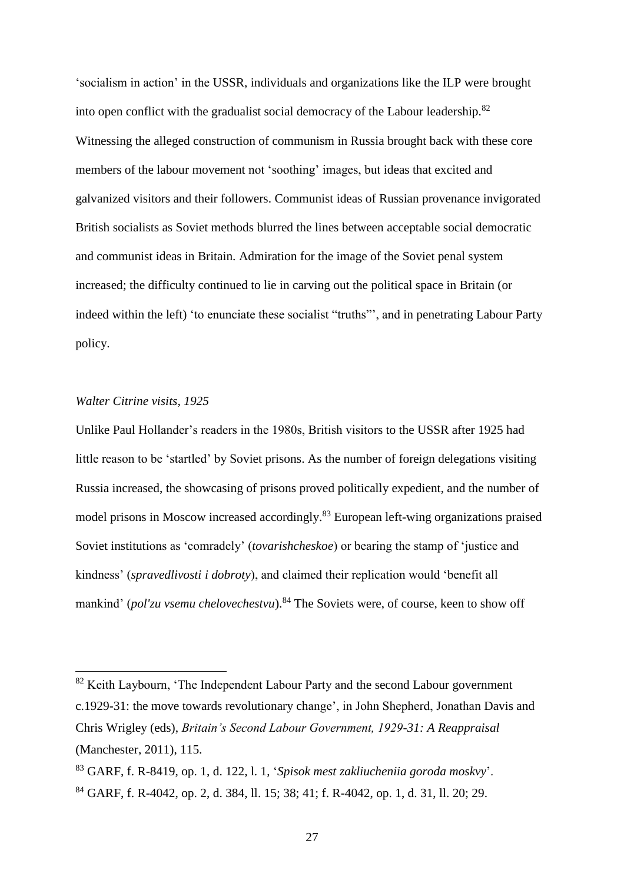'socialism in action' in the USSR, individuals and organizations like the ILP were brought into open conflict with the gradualist social democracy of the Labour leadership.<sup>82</sup> Witnessing the alleged construction of communism in Russia brought back with these core members of the labour movement not 'soothing' images, but ideas that excited and galvanized visitors and their followers. Communist ideas of Russian provenance invigorated British socialists as Soviet methods blurred the lines between acceptable social democratic and communist ideas in Britain. Admiration for the image of the Soviet penal system increased; the difficulty continued to lie in carving out the political space in Britain (or indeed within the left) 'to enunciate these socialist "truths"', and in penetrating Labour Party policy.

# *Walter Citrine visits, 1925*

 $\overline{a}$ 

Unlike Paul Hollander's readers in the 1980s, British visitors to the USSR after 1925 had little reason to be 'startled' by Soviet prisons. As the number of foreign delegations visiting Russia increased, the showcasing of prisons proved politically expedient, and the number of model prisons in Moscow increased accordingly.<sup>83</sup> European left-wing organizations praised Soviet institutions as 'comradely' (*tovarishcheskoe*) or bearing the stamp of 'justice and kindness' (*spravedlivosti i dobroty*), and claimed their replication would 'benefit all mankind' (*pol'zu vsemu chelovechestvu*). <sup>84</sup> The Soviets were, of course, keen to show off

<sup>&</sup>lt;sup>82</sup> Keith Laybourn, 'The Independent Labour Party and the second Labour government c.1929-31: the move towards revolutionary change', in John Shepherd, Jonathan Davis and Chris Wrigley (eds), *Britain's Second Labour Government, 1929-31: A Reappraisal* (Manchester, 2011), 115.

<sup>83</sup> GARF, f. R-8419, op. 1, d. 122, l. 1, '*Spisok mest zakliucheniia goroda moskvy*'. <sup>84</sup> GARF, f. R-4042, op. 2, d. 384, ll. 15; 38; 41; f. R-4042, op. 1, d. 31, ll. 20; 29.

<sup>27</sup>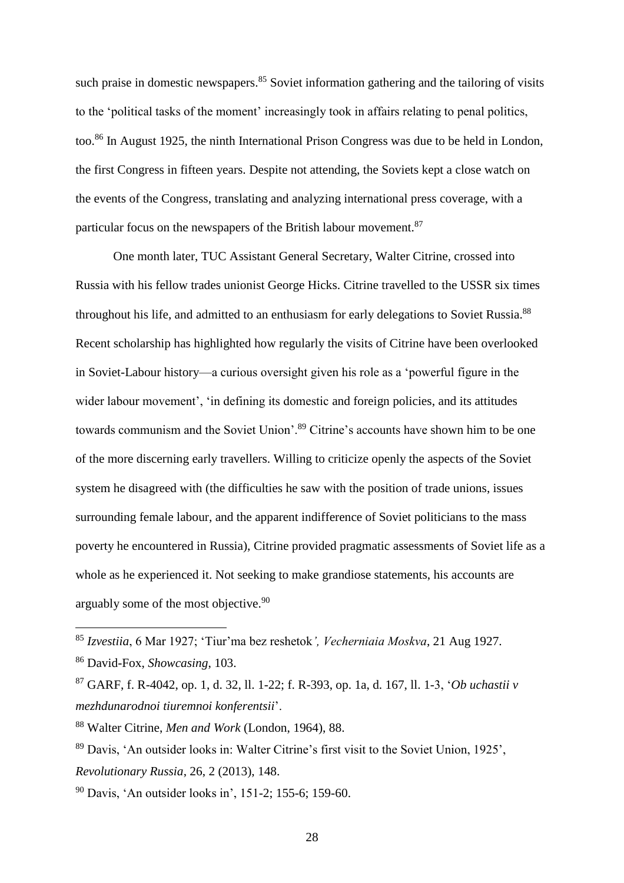such praise in domestic newspapers.<sup>85</sup> Soviet information gathering and the tailoring of visits to the 'political tasks of the moment' increasingly took in affairs relating to penal politics, too.<sup>86</sup> In August 1925, the ninth International Prison Congress was due to be held in London, the first Congress in fifteen years. Despite not attending, the Soviets kept a close watch on the events of the Congress, translating and analyzing international press coverage, with a particular focus on the newspapers of the British labour movement.<sup>87</sup>

One month later, TUC Assistant General Secretary, Walter Citrine, crossed into Russia with his fellow trades unionist George Hicks. Citrine travelled to the USSR six times throughout his life, and admitted to an enthusiasm for early delegations to Soviet Russia.<sup>88</sup> Recent scholarship has highlighted how regularly the visits of Citrine have been overlooked in Soviet-Labour history—a curious oversight given his role as a 'powerful figure in the wider labour movement', 'in defining its domestic and foreign policies, and its attitudes towards communism and the Soviet Union'.<sup>89</sup> Citrine's accounts have shown him to be one of the more discerning early travellers. Willing to criticize openly the aspects of the Soviet system he disagreed with (the difficulties he saw with the position of trade unions, issues surrounding female labour, and the apparent indifference of Soviet politicians to the mass poverty he encountered in Russia), Citrine provided pragmatic assessments of Soviet life as a whole as he experienced it. Not seeking to make grandiose statements, his accounts are arguably some of the most objective.<sup>90</sup>

<sup>85</sup> *Izvestiia*, 6 Mar 1927; 'Tiur'ma bez reshetok*', Vecherniaia Moskva*, 21 Aug 1927.

<sup>86</sup> David-Fox, *Showcasing*, 103.

<sup>87</sup> GARF, f. R-4042, op. 1, d. 32, ll. 1-22; f. R-393, op. 1a, d. 167, ll. 1-3, '*Ob uchastii v mezhdunarodnoi tiuremnoi konferentsii*'.

<sup>88</sup> Walter Citrine, *Men and Work* (London, 1964), 88.

<sup>89</sup> Davis, 'An outsider looks in: Walter Citrine's first visit to the Soviet Union, 1925', *Revolutionary Russia*, 26, 2 (2013), 148.

<sup>90</sup> Davis, 'An outsider looks in', 151-2; 155-6; 159-60.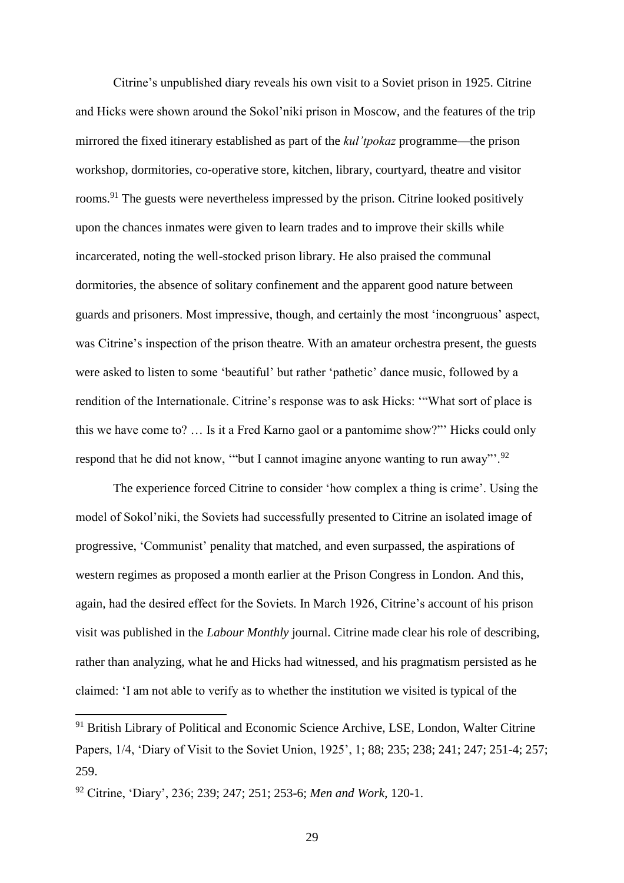Citrine's unpublished diary reveals his own visit to a Soviet prison in 1925. Citrine and Hicks were shown around the Sokol'niki prison in Moscow, and the features of the trip mirrored the fixed itinerary established as part of the *kul'tpokaz* programme—the prison workshop, dormitories, co-operative store, kitchen, library, courtyard, theatre and visitor rooms.<sup>91</sup> The guests were nevertheless impressed by the prison. Citrine looked positively upon the chances inmates were given to learn trades and to improve their skills while incarcerated, noting the well-stocked prison library. He also praised the communal dormitories, the absence of solitary confinement and the apparent good nature between guards and prisoners. Most impressive, though, and certainly the most 'incongruous' aspect, was Citrine's inspection of the prison theatre. With an amateur orchestra present, the guests were asked to listen to some 'beautiful' but rather 'pathetic' dance music, followed by a rendition of the Internationale. Citrine's response was to ask Hicks: '"What sort of place is this we have come to? … Is it a Fred Karno gaol or a pantomime show?"' Hicks could only respond that he did not know, "but I cannot imagine anyone wanting to run away"<sup>'.92</sup>

The experience forced Citrine to consider 'how complex a thing is crime'. Using the model of Sokol'niki, the Soviets had successfully presented to Citrine an isolated image of progressive, 'Communist' penality that matched, and even surpassed, the aspirations of western regimes as proposed a month earlier at the Prison Congress in London. And this, again, had the desired effect for the Soviets. In March 1926, Citrine's account of his prison visit was published in the *Labour Monthly* journal. Citrine made clear his role of describing, rather than analyzing, what he and Hicks had witnessed, and his pragmatism persisted as he claimed: 'I am not able to verify as to whether the institution we visited is typical of the

<sup>&</sup>lt;sup>91</sup> British Library of Political and Economic Science Archive, LSE, London, Walter Citrine Papers, 1/4, 'Diary of Visit to the Soviet Union, 1925', 1; 88; 235; 238; 241; 247; 251-4; 257; 259.

<sup>92</sup> Citrine, 'Diary', 236; 239; 247; 251; 253-6; *Men and Work*, 120-1.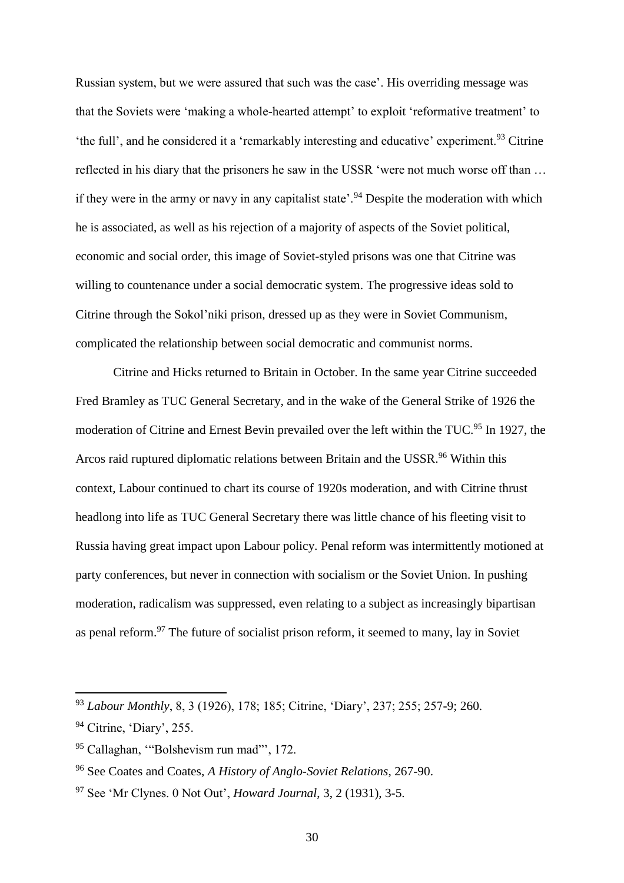Russian system, but we were assured that such was the case'. His overriding message was that the Soviets were 'making a whole-hearted attempt' to exploit 'reformative treatment' to 'the full', and he considered it a 'remarkably interesting and educative' experiment.<sup>93</sup> Citrine reflected in his diary that the prisoners he saw in the USSR 'were not much worse off than … if they were in the army or navy in any capitalist state'.<sup>94</sup> Despite the moderation with which he is associated, as well as his rejection of a majority of aspects of the Soviet political, economic and social order, this image of Soviet-styled prisons was one that Citrine was willing to countenance under a social democratic system. The progressive ideas sold to Citrine through the Sokol'niki prison, dressed up as they were in Soviet Communism, complicated the relationship between social democratic and communist norms.

Citrine and Hicks returned to Britain in October. In the same year Citrine succeeded Fred Bramley as TUC General Secretary, and in the wake of the General Strike of 1926 the moderation of Citrine and Ernest Bevin prevailed over the left within the TUC.<sup>95</sup> In 1927, the Arcos raid ruptured diplomatic relations between Britain and the USSR.<sup>96</sup> Within this context, Labour continued to chart its course of 1920s moderation, and with Citrine thrust headlong into life as TUC General Secretary there was little chance of his fleeting visit to Russia having great impact upon Labour policy. Penal reform was intermittently motioned at party conferences, but never in connection with socialism or the Soviet Union. In pushing moderation, radicalism was suppressed, even relating to a subject as increasingly bipartisan as penal reform.<sup>97</sup> The future of socialist prison reform, it seemed to many, lay in Soviet

<sup>93</sup> *Labour Monthly*, 8, 3 (1926), 178; 185; Citrine, 'Diary', 237; 255; 257-9; 260.

<sup>&</sup>lt;sup>94</sup> Citrine, 'Diary', 255.

<sup>&</sup>lt;sup>95</sup> Callaghan, "Bolshevism run mad"', 172.

<sup>96</sup> See Coates and Coates, *A History of Anglo-Soviet Relations*, 267-90.

<sup>97</sup> See 'Mr Clynes. 0 Not Out', *Howard Journal*, 3, 2 (1931), 3-5.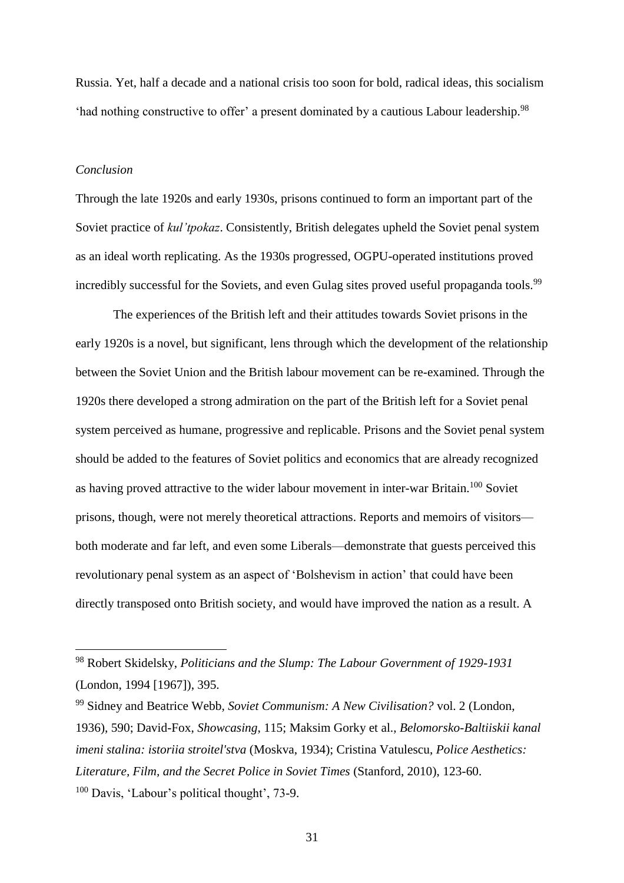Russia. Yet, half a decade and a national crisis too soon for bold, radical ideas, this socialism 'had nothing constructive to offer' a present dominated by a cautious Labour leadership.<sup>98</sup>

## *Conclusion*

l

Through the late 1920s and early 1930s, prisons continued to form an important part of the Soviet practice of *kul'tpokaz*. Consistently, British delegates upheld the Soviet penal system as an ideal worth replicating. As the 1930s progressed, OGPU-operated institutions proved incredibly successful for the Soviets, and even Gulag sites proved useful propaganda tools.<sup>99</sup>

The experiences of the British left and their attitudes towards Soviet prisons in the early 1920s is a novel, but significant, lens through which the development of the relationship between the Soviet Union and the British labour movement can be re-examined. Through the 1920s there developed a strong admiration on the part of the British left for a Soviet penal system perceived as humane, progressive and replicable. Prisons and the Soviet penal system should be added to the features of Soviet politics and economics that are already recognized as having proved attractive to the wider labour movement in inter-war Britain.<sup>100</sup> Soviet prisons, though, were not merely theoretical attractions. Reports and memoirs of visitors both moderate and far left, and even some Liberals—demonstrate that guests perceived this revolutionary penal system as an aspect of 'Bolshevism in action' that could have been directly transposed onto British society, and would have improved the nation as a result. A

<sup>98</sup> Robert Skidelsky, *Politicians and the Slump: The Labour Government of 1929-1931* (London, 1994 [1967]), 395.

<sup>99</sup> Sidney and Beatrice Webb, *Soviet Communism: A New Civilisation?* vol. 2 (London, 1936), 590; David-Fox, *Showcasing*, 115; Maksim Gorky et al., *Belomorsko-Baltiiskii kanal imeni stalina: istoriia stroitel'stva* (Moskva, 1934); Cristina Vatulescu, *Police Aesthetics: Literature, Film, and the Secret Police in Soviet Times* (Stanford, 2010), 123-60. <sup>100</sup> Davis, 'Labour's political thought', 73-9.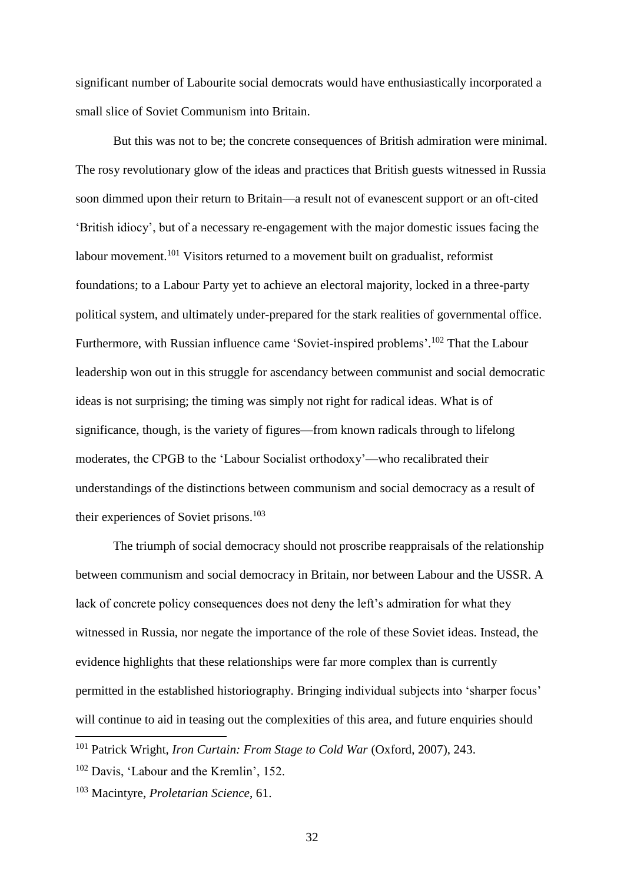significant number of Labourite social democrats would have enthusiastically incorporated a small slice of Soviet Communism into Britain.

But this was not to be; the concrete consequences of British admiration were minimal. The rosy revolutionary glow of the ideas and practices that British guests witnessed in Russia soon dimmed upon their return to Britain—a result not of evanescent support or an oft-cited 'British idiocy', but of a necessary re-engagement with the major domestic issues facing the labour movement.<sup>101</sup> Visitors returned to a movement built on gradualist, reformist foundations; to a Labour Party yet to achieve an electoral majority, locked in a three-party political system, and ultimately under-prepared for the stark realities of governmental office. Furthermore, with Russian influence came 'Soviet-inspired problems'.<sup>102</sup> That the Labour leadership won out in this struggle for ascendancy between communist and social democratic ideas is not surprising; the timing was simply not right for radical ideas. What is of significance, though, is the variety of figures—from known radicals through to lifelong moderates, the CPGB to the 'Labour Socialist orthodoxy'—who recalibrated their understandings of the distinctions between communism and social democracy as a result of their experiences of Soviet prisons. $103$ 

The triumph of social democracy should not proscribe reappraisals of the relationship between communism and social democracy in Britain, nor between Labour and the USSR. A lack of concrete policy consequences does not deny the left's admiration for what they witnessed in Russia, nor negate the importance of the role of these Soviet ideas. Instead, the evidence highlights that these relationships were far more complex than is currently permitted in the established historiography. Bringing individual subjects into 'sharper focus' will continue to aid in teasing out the complexities of this area, and future enquiries should

<sup>101</sup> Patrick Wright, *Iron Curtain: From Stage to Cold War* (Oxford, 2007), 243.

<sup>102</sup> Davis, 'Labour and the Kremlin', 152.

<sup>103</sup> Macintyre, *Proletarian Science*, 61.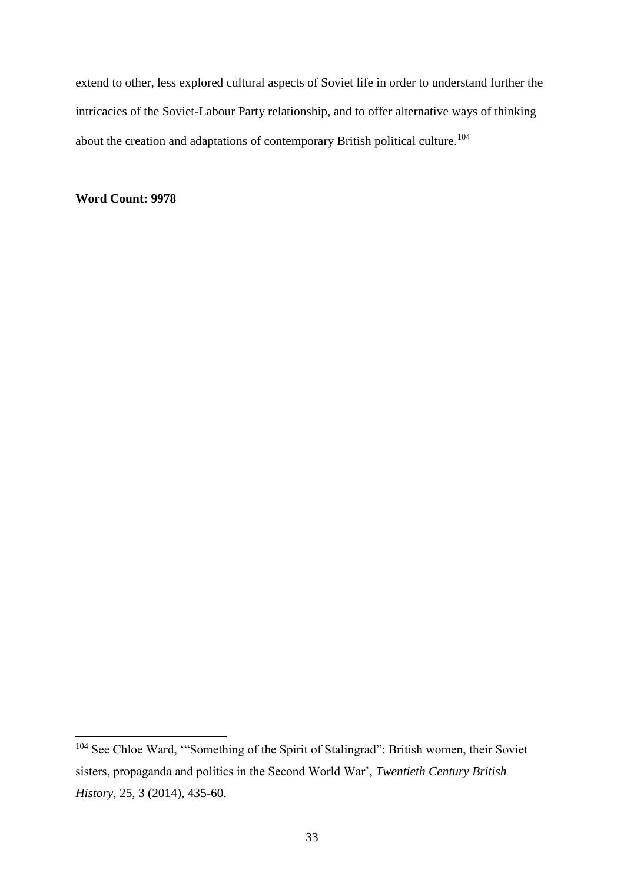extend to other, less explored cultural aspects of Soviet life in order to understand further the intricacies of the Soviet-Labour Party relationship, and to offer alternative ways of thinking about the creation and adaptations of contemporary British political culture.<sup>104</sup>

**Word Count: 9978**

<sup>&</sup>lt;sup>104</sup> See Chloe Ward, "Something of the Spirit of Stalingrad": British women, their Soviet sisters, propaganda and politics in the Second World War', *Twentieth Century British History*, 25, 3 (2014), 435-60.